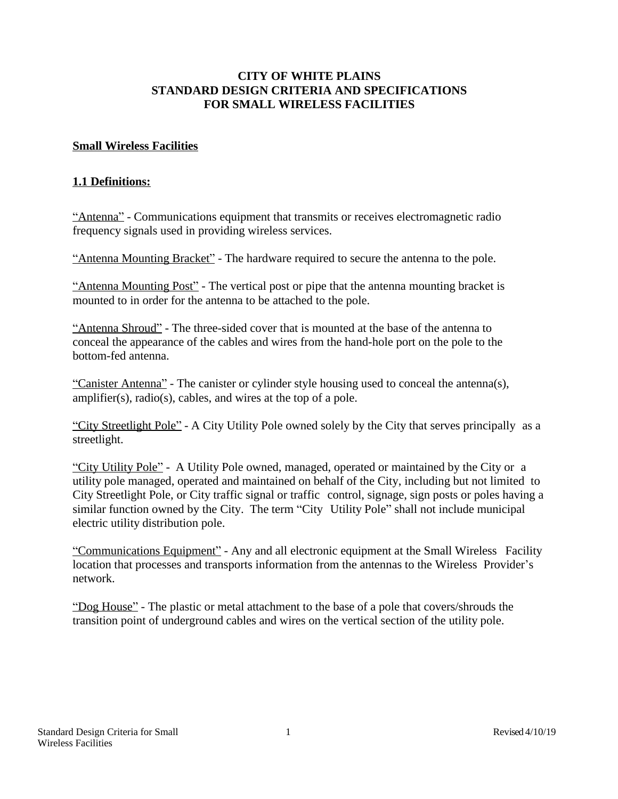# **CITY OF WHITE PLAINS STANDARD DESIGN CRITERIA AND SPECIFICATIONS FOR SMALL WIRELESS FACILITIES**

### **Small Wireless Facilities**

#### **1.1 Definitions:**

"Antenna" - Communications equipment that transmits or receives electromagnetic radio frequency signals used in providing wireless services.

"Antenna Mounting Bracket" - The hardware required to secure the antenna to the pole.

"Antenna Mounting Post" - The vertical post or pipe that the antenna mounting bracket is mounted to in order for the antenna to be attached to the pole.

"Antenna Shroud" - The three-sided cover that is mounted at the base of the antenna to conceal the appearance of the cables and wires from the hand-hole port on the pole to the bottom-fed antenna.

"Canister Antenna" - The canister or cylinder style housing used to conceal the antenna(s), amplifier(s), radio(s), cables, and wires at the top of a pole.

"City Streetlight Pole" - A City Utility Pole owned solely by the City that serves principally as a streetlight.

"City Utility Pole" - A Utility Pole owned, managed, operated or maintained by the City or a utility pole managed, operated and maintained on behalf of the City, including but not limited to City Streetlight Pole, or City traffic signal or traffic control, signage, sign posts or poles having a similar function owned by the City. The term "City Utility Pole" shall not include municipal electric utility distribution pole.

"Communications Equipment" - Any and all electronic equipment at the Small Wireless Facility location that processes and transports information from the antennas to the Wireless Provider's network.

"Dog House" - The plastic or metal attachment to the base of a pole that covers/shrouds the transition point of underground cables and wires on the vertical section of the utility pole.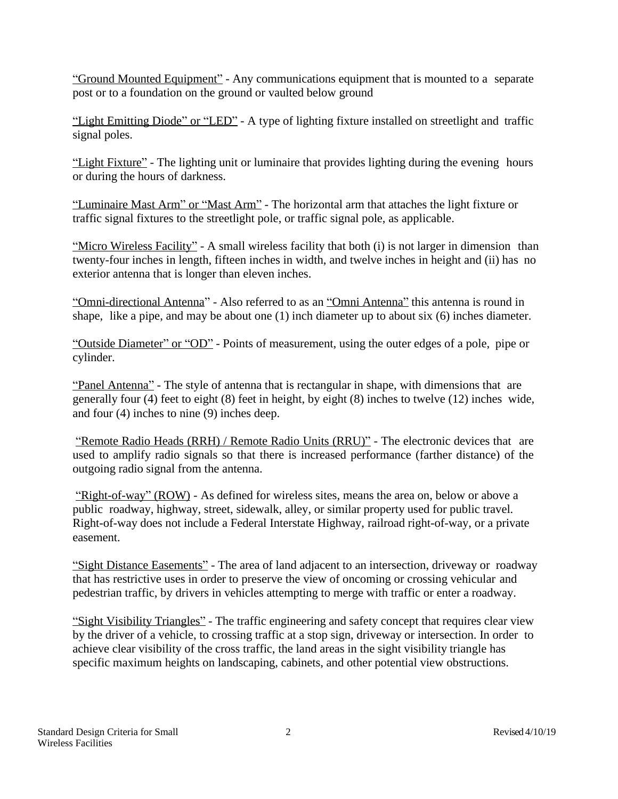"Ground Mounted Equipment" - Any communications equipment that is mounted to a separate post or to a foundation on the ground or vaulted below ground

"Light Emitting Diode" or "LED" - A type of lighting fixture installed on streetlight and traffic signal poles.

"Light Fixture" - The lighting unit or luminaire that provides lighting during the evening hours or during the hours of darkness.

"Luminaire Mast Arm" or "Mast Arm" - The horizontal arm that attaches the light fixture or traffic signal fixtures to the streetlight pole, or traffic signal pole, as applicable.

"Micro Wireless Facility" - A small wireless facility that both (i) is not larger in dimension than twenty-four inches in length, fifteen inches in width, and twelve inches in height and (ii) has no exterior antenna that is longer than eleven inches.

"Omni-directional Antenna" - Also referred to as an "Omni Antenna" this antenna is round in shape, like a pipe, and may be about one (1) inch diameter up to about six (6) inches diameter.

"Outside Diameter" or "OD" - Points of measurement, using the outer edges of a pole, pipe or cylinder.

"Panel Antenna" - The style of antenna that is rectangular in shape, with dimensions that are generally four (4) feet to eight (8) feet in height, by eight (8) inches to twelve (12) inches wide, and four (4) inches to nine (9) inches deep.

"Remote Radio Heads (RRH) / Remote Radio Units (RRU)" - The electronic devices that are used to amplify radio signals so that there is increased performance (farther distance) of the outgoing radio signal from the antenna.

"Right-of-way" (ROW) - As defined for wireless sites, means the area on, below or above a public roadway, highway, street, sidewalk, alley, or similar property used for public travel. Right-of-way does not include a Federal Interstate Highway, railroad right-of-way, or a private easement.

"Sight Distance Easements" - The area of land adjacent to an intersection, driveway or roadway that has restrictive uses in order to preserve the view of oncoming or crossing vehicular and pedestrian traffic, by drivers in vehicles attempting to merge with traffic or enter a roadway.

"Sight Visibility Triangles" - The traffic engineering and safety concept that requires clear view by the driver of a vehicle, to crossing traffic at a stop sign, driveway or intersection. In order to achieve clear visibility of the cross traffic, the land areas in the sight visibility triangle has specific maximum heights on landscaping, cabinets, and other potential view obstructions.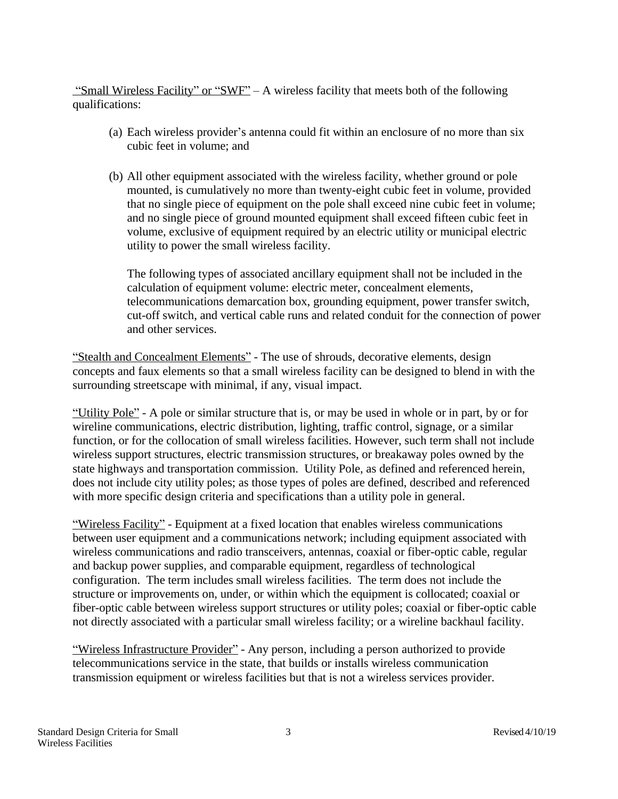"Small Wireless Facility" or "SWF" – A wireless facility that meets both of the following qualifications:

- (a) Each wireless provider's antenna could fit within an enclosure of no more than six cubic feet in volume; and
- (b) All other equipment associated with the wireless facility, whether ground or pole mounted, is cumulatively no more than twenty-eight cubic feet in volume, provided that no single piece of equipment on the pole shall exceed nine cubic feet in volume; and no single piece of ground mounted equipment shall exceed fifteen cubic feet in volume, exclusive of equipment required by an electric utility or municipal electric utility to power the small wireless facility.

The following types of associated ancillary equipment shall not be included in the calculation of equipment volume: electric meter, concealment elements, telecommunications demarcation box, grounding equipment, power transfer switch, cut-off switch, and vertical cable runs and related conduit for the connection of power and other services.

"Stealth and Concealment Elements" - The use of shrouds, decorative elements, design concepts and faux elements so that a small wireless facility can be designed to blend in with the surrounding streetscape with minimal, if any, visual impact.

"Utility Pole" - A pole or similar structure that is, or may be used in whole or in part, by or for wireline communications, electric distribution, lighting, traffic control, signage, or a similar function, or for the collocation of small wireless facilities. However, such term shall not include wireless support structures, electric transmission structures, or breakaway poles owned by the state highways and transportation commission. Utility Pole, as defined and referenced herein, does not include city utility poles; as those types of poles are defined, described and referenced with more specific design criteria and specifications than a utility pole in general.

"Wireless Facility" - Equipment at a fixed location that enables wireless communications between user equipment and a communications network; including equipment associated with wireless communications and radio transceivers, antennas, coaxial or fiber-optic cable, regular and backup power supplies, and comparable equipment, regardless of technological configuration. The term includes small wireless facilities. The term does not include the structure or improvements on, under, or within which the equipment is collocated; coaxial or fiber-optic cable between wireless support structures or utility poles; coaxial or fiber-optic cable not directly associated with a particular small wireless facility; or a wireline backhaul facility.

"Wireless Infrastructure Provider" - Any person, including a person authorized to provide telecommunications service in the state, that builds or installs wireless communication transmission equipment or wireless facilities but that is not a wireless services provider.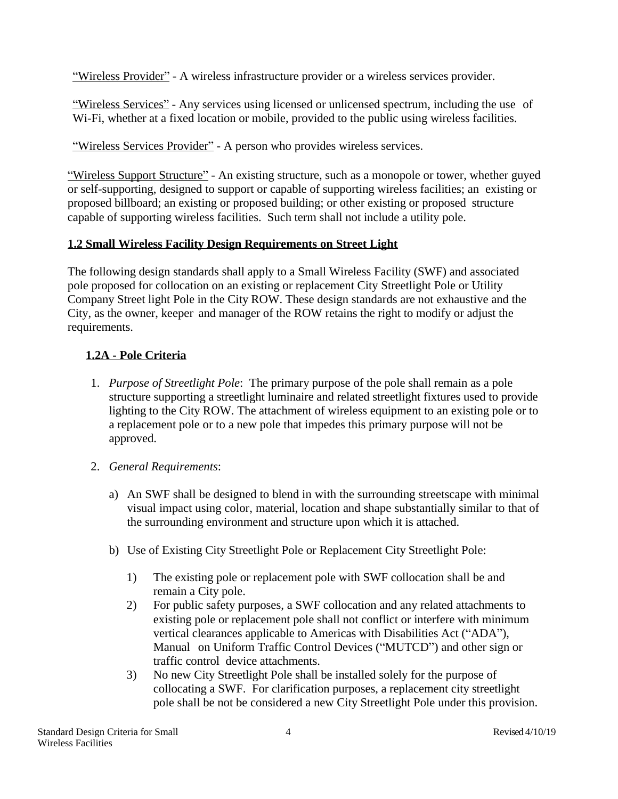"Wireless Provider" - A wireless infrastructure provider or a wireless services provider.

"Wireless Services" - Any services using licensed or unlicensed spectrum, including the use of Wi-Fi, whether at a fixed location or mobile, provided to the public using wireless facilities.

"Wireless Services Provider" - A person who provides wireless services.

"Wireless Support Structure" - An existing structure, such as a monopole or tower, whether guyed or self-supporting, designed to support or capable of supporting wireless facilities; an existing or proposed billboard; an existing or proposed building; or other existing or proposed structure capable of supporting wireless facilities. Such term shall not include a utility pole.

# **1.2 Small Wireless Facility Design Requirements on Street Light**

The following design standards shall apply to a Small Wireless Facility (SWF) and associated pole proposed for collocation on an existing or replacement City Streetlight Pole or Utility Company Street light Pole in the City ROW. These design standards are not exhaustive and the City, as the owner, keeper and manager of the ROW retains the right to modify or adjust the requirements.

# **1.2A - Pole Criteria**

- 1. *Purpose of Streetlight Pole*: The primary purpose of the pole shall remain as a pole structure supporting a streetlight luminaire and related streetlight fixtures used to provide lighting to the City ROW. The attachment of wireless equipment to an existing pole or to a replacement pole or to a new pole that impedes this primary purpose will not be approved.
- 2. *General Requirements*:
	- a) An SWF shall be designed to blend in with the surrounding streetscape with minimal visual impact using color, material, location and shape substantially similar to that of the surrounding environment and structure upon which it is attached.
	- b) Use of Existing City Streetlight Pole or Replacement City Streetlight Pole:
		- 1) The existing pole or replacement pole with SWF collocation shall be and remain a City pole.
		- 2) For public safety purposes, a SWF collocation and any related attachments to existing pole or replacement pole shall not conflict or interfere with minimum vertical clearances applicable to Americas with Disabilities Act ("ADA"), Manual on Uniform Traffic Control Devices ("MUTCD") and other sign or traffic control device attachments.
		- 3) No new City Streetlight Pole shall be installed solely for the purpose of collocating a SWF. For clarification purposes, a replacement city streetlight pole shall be not be considered a new City Streetlight Pole under this provision.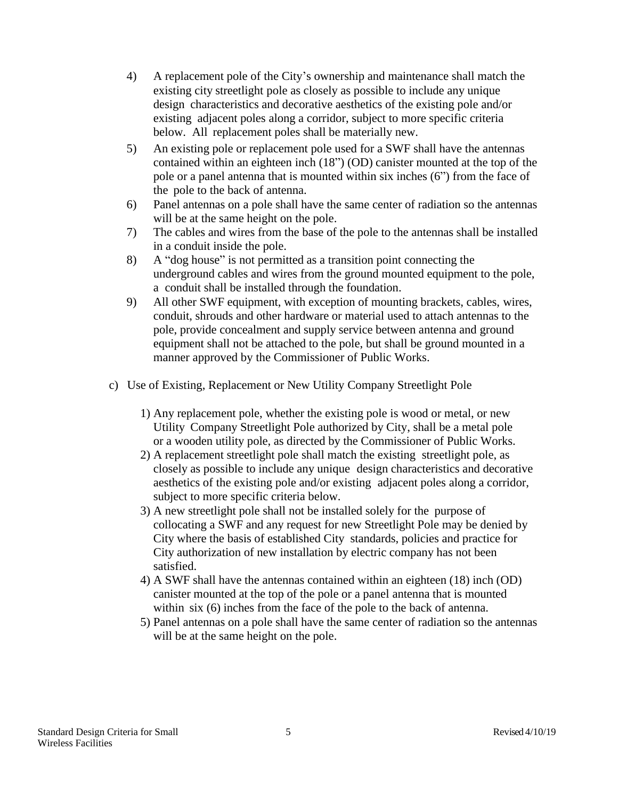- 4) A replacement pole of the City's ownership and maintenance shall match the existing city streetlight pole as closely as possible to include any unique design characteristics and decorative aesthetics of the existing pole and/or existing adjacent poles along a corridor, subject to more specific criteria below. All replacement poles shall be materially new.
- 5) An existing pole or replacement pole used for a SWF shall have the antennas contained within an eighteen inch (18") (OD) canister mounted at the top of the pole or a panel antenna that is mounted within six inches (6") from the face of the pole to the back of antenna.
- 6) Panel antennas on a pole shall have the same center of radiation so the antennas will be at the same height on the pole.
- 7) The cables and wires from the base of the pole to the antennas shall be installed in a conduit inside the pole.
- 8) A "dog house" is not permitted as a transition point connecting the underground cables and wires from the ground mounted equipment to the pole, a conduit shall be installed through the foundation.
- 9) All other SWF equipment, with exception of mounting brackets, cables, wires, conduit, shrouds and other hardware or material used to attach antennas to the pole, provide concealment and supply service between antenna and ground equipment shall not be attached to the pole, but shall be ground mounted in a manner approved by the Commissioner of Public Works.
- c) Use of Existing, Replacement or New Utility Company Streetlight Pole
	- 1) Any replacement pole, whether the existing pole is wood or metal, or new Utility Company Streetlight Pole authorized by City, shall be a metal pole or a wooden utility pole, as directed by the Commissioner of Public Works.
	- 2) A replacement streetlight pole shall match the existing streetlight pole, as closely as possible to include any unique design characteristics and decorative aesthetics of the existing pole and/or existing adjacent poles along a corridor, subject to more specific criteria below.
	- 3) A new streetlight pole shall not be installed solely for the purpose of collocating a SWF and any request for new Streetlight Pole may be denied by City where the basis of established City standards, policies and practice for City authorization of new installation by electric company has not been satisfied.
	- 4) A SWF shall have the antennas contained within an eighteen (18) inch (OD) canister mounted at the top of the pole or a panel antenna that is mounted within six (6) inches from the face of the pole to the back of antenna.
	- 5) Panel antennas on a pole shall have the same center of radiation so the antennas will be at the same height on the pole.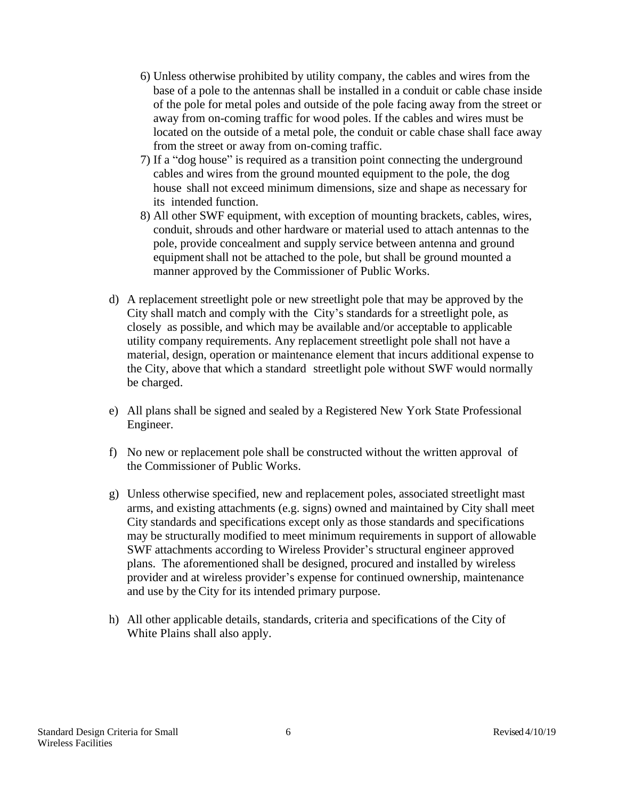- 6) Unless otherwise prohibited by utility company, the cables and wires from the base of a pole to the antennas shall be installed in a conduit or cable chase inside of the pole for metal poles and outside of the pole facing away from the street or away from on-coming traffic for wood poles. If the cables and wires must be located on the outside of a metal pole, the conduit or cable chase shall face away from the street or away from on-coming traffic.
- 7) If a "dog house" is required as a transition point connecting the underground cables and wires from the ground mounted equipment to the pole, the dog house shall not exceed minimum dimensions, size and shape as necessary for its intended function.
- 8) All other SWF equipment, with exception of mounting brackets, cables, wires, conduit, shrouds and other hardware or material used to attach antennas to the pole, provide concealment and supply service between antenna and ground equipmentshall not be attached to the pole, but shall be ground mounted a manner approved by the Commissioner of Public Works.
- d) A replacement streetlight pole or new streetlight pole that may be approved by the City shall match and comply with the City's standards for a streetlight pole, as closely as possible, and which may be available and/or acceptable to applicable utility company requirements. Any replacement streetlight pole shall not have a material, design, operation or maintenance element that incurs additional expense to the City, above that which a standard streetlight pole without SWF would normally be charged.
- e) All plans shall be signed and sealed by a Registered New York State Professional Engineer.
- f) No new or replacement pole shall be constructed without the written approval of the Commissioner of Public Works.
- g) Unless otherwise specified, new and replacement poles, associated streetlight mast arms, and existing attachments (e.g. signs) owned and maintained by City shall meet City standards and specifications except only as those standards and specifications may be structurally modified to meet minimum requirements in support of allowable SWF attachments according to Wireless Provider's structural engineer approved plans. The aforementioned shall be designed, procured and installed by wireless provider and at wireless provider's expense for continued ownership, maintenance and use by the City for its intended primary purpose.
- h) All other applicable details, standards, criteria and specifications of the City of White Plains shall also apply.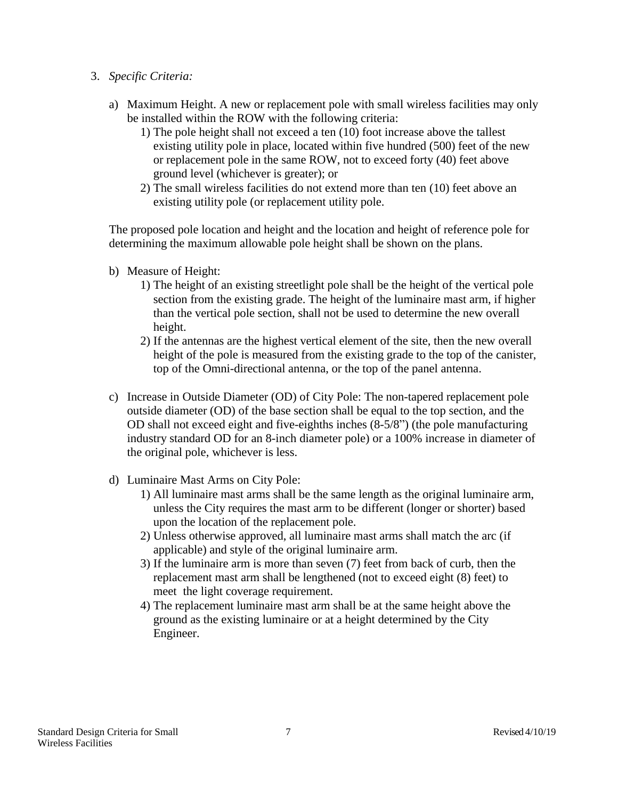- 3. *Specific Criteria:*
	- a) Maximum Height. A new or replacement pole with small wireless facilities may only be installed within the ROW with the following criteria:
		- 1) The pole height shall not exceed a ten (10) foot increase above the tallest existing utility pole in place, located within five hundred (500) feet of the new or replacement pole in the same ROW, not to exceed forty (40) feet above ground level (whichever is greater); or
		- 2) The small wireless facilities do not extend more than ten (10) feet above an existing utility pole (or replacement utility pole.

The proposed pole location and height and the location and height of reference pole for determining the maximum allowable pole height shall be shown on the plans.

- b) Measure of Height:
	- 1) The height of an existing streetlight pole shall be the height of the vertical pole section from the existing grade. The height of the luminaire mast arm, if higher than the vertical pole section, shall not be used to determine the new overall height.
	- 2) If the antennas are the highest vertical element of the site, then the new overall height of the pole is measured from the existing grade to the top of the canister, top of the Omni-directional antenna, or the top of the panel antenna.
- c) Increase in Outside Diameter (OD) of City Pole: The non-tapered replacement pole outside diameter (OD) of the base section shall be equal to the top section, and the OD shall not exceed eight and five-eighths inches (8-5/8") (the pole manufacturing industry standard OD for an 8-inch diameter pole) or a 100% increase in diameter of the original pole, whichever is less.
- d) Luminaire Mast Arms on City Pole:
	- 1) All luminaire mast arms shall be the same length as the original luminaire arm, unless the City requires the mast arm to be different (longer or shorter) based upon the location of the replacement pole.
	- 2) Unless otherwise approved, all luminaire mast arms shall match the arc (if applicable) and style of the original luminaire arm.
	- 3) If the luminaire arm is more than seven (7) feet from back of curb, then the replacement mast arm shall be lengthened (not to exceed eight (8) feet) to meet the light coverage requirement.
	- 4) The replacement luminaire mast arm shall be at the same height above the ground as the existing luminaire or at a height determined by the City Engineer.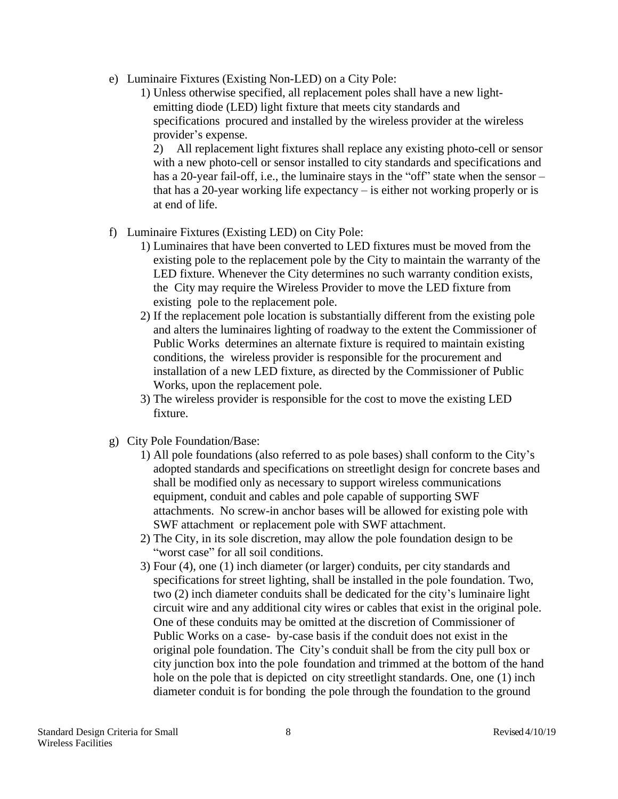- e) Luminaire Fixtures (Existing Non-LED) on a City Pole:
	- 1) Unless otherwise specified, all replacement poles shall have a new lightemitting diode (LED) light fixture that meets city standards and specifications procured and installed by the wireless provider at the wireless provider's expense.

2) All replacement light fixtures shall replace any existing photo-cell or sensor with a new photo-cell or sensor installed to city standards and specifications and has a 20-year fail-off, i.e., the luminaire stays in the "off" state when the sensor – that has a 20-year working life expectancy – is either not working properly or is at end of life.

- f) Luminaire Fixtures (Existing LED) on City Pole:
	- 1) Luminaires that have been converted to LED fixtures must be moved from the existing pole to the replacement pole by the City to maintain the warranty of the LED fixture. Whenever the City determines no such warranty condition exists, the City may require the Wireless Provider to move the LED fixture from existing pole to the replacement pole.
	- 2) If the replacement pole location is substantially different from the existing pole and alters the luminaires lighting of roadway to the extent the Commissioner of Public Works determines an alternate fixture is required to maintain existing conditions, the wireless provider is responsible for the procurement and installation of a new LED fixture, as directed by the Commissioner of Public Works, upon the replacement pole.
	- 3) The wireless provider is responsible for the cost to move the existing LED fixture.
- g) City Pole Foundation/Base:
	- 1) All pole foundations (also referred to as pole bases) shall conform to the City's adopted standards and specifications on streetlight design for concrete bases and shall be modified only as necessary to support wireless communications equipment, conduit and cables and pole capable of supporting SWF attachments. No screw-in anchor bases will be allowed for existing pole with SWF attachment or replacement pole with SWF attachment.
	- 2) The City, in its sole discretion, may allow the pole foundation design to be "worst case" for all soil conditions.
	- 3) Four (4), one (1) inch diameter (or larger) conduits, per city standards and specifications for street lighting, shall be installed in the pole foundation. Two, two (2) inch diameter conduits shall be dedicated for the city's luminaire light circuit wire and any additional city wires or cables that exist in the original pole. One of these conduits may be omitted at the discretion of Commissioner of Public Works on a case- by-case basis if the conduit does not exist in the original pole foundation. The City's conduit shall be from the city pull box or city junction box into the pole foundation and trimmed at the bottom of the hand hole on the pole that is depicted on city streetlight standards. One, one (1) inch diameter conduit is for bonding the pole through the foundation to the ground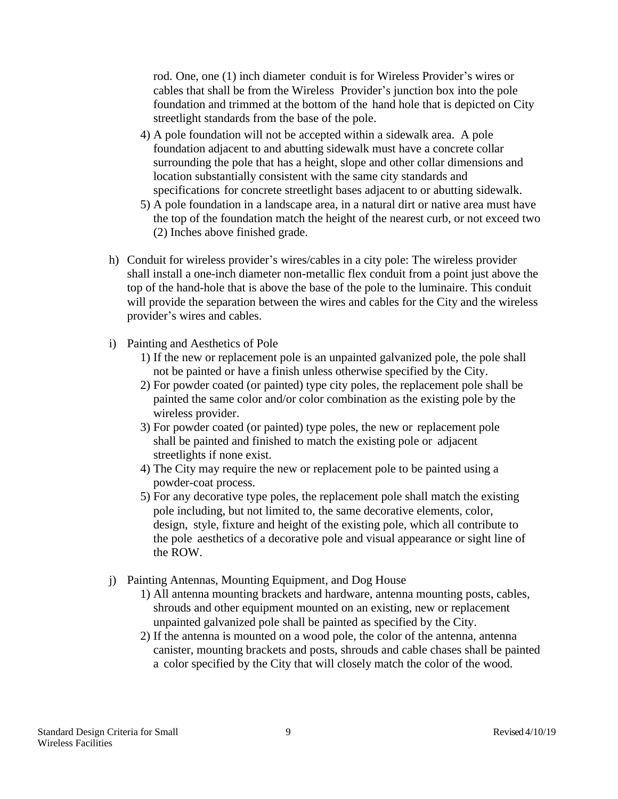rod. One, one (1) inch diameter conduit is for Wireless Provider's wires or cables that shall be from the Wireless Provider's junction box into the pole foundation and trimmed at the bottom of the hand hole that is depicted on City streetlight standards from the base of the pole.

- 4) A pole foundation will not be accepted within a sidewalk area. A pole foundation adjacent to and abutting sidewalk must have a concrete collar surrounding the pole that has a height, slope and other collar dimensions and location substantially consistent with the same city standards and specifications for concrete streetlight bases adjacent to or abutting sidewalk.
- 5) A pole foundation in a landscape area, in a natural dirt or native area must have the top of the foundation match the height of the nearest curb, or not exceed two (2) Inches above finished grade.
- h) Conduit for wireless provider's wires/cables in a city pole: The wireless provider shall install a one-inch diameter non-metallic flex conduit from a point just above the top of the hand-hole that is above the base of the pole to the luminaire. This conduit will provide the separation between the wires and cables for the City and the wireless provider's wires and cables.
- i) Painting and Aesthetics of Pole
	- 1) If the new or replacement pole is an unpainted galvanized pole, the pole shall not be painted or have a finish unless otherwise specified by the City.
	- 2) For powder coated (or painted) type city poles, the replacement pole shall be painted the same color and/or color combination as the existing pole by the wireless provider.
	- 3) For powder coated (or painted) type poles, the new or replacement pole shall be painted and finished to match the existing pole or adjacent streetlights if none exist.
	- 4) The City may require the new or replacement pole to be painted using a powder-coat process.
	- 5) For any decorative type poles, the replacement pole shall match the existing pole including, but not limited to, the same decorative elements, color, design, style, fixture and height of the existing pole, which all contribute to the pole aesthetics of a decorative pole and visual appearance or sight line of the ROW.
- j) Painting Antennas, Mounting Equipment, and Dog House
	- 1) All antenna mounting brackets and hardware, antenna mounting posts, cables, shrouds and other equipment mounted on an existing, new or replacement unpainted galvanized pole shall be painted as specified by the City.
	- 2) If the antenna is mounted on a wood pole, the color of the antenna, antenna canister, mounting brackets and posts, shrouds and cable chases shall be painted a color specified by the City that will closely match the color of the wood.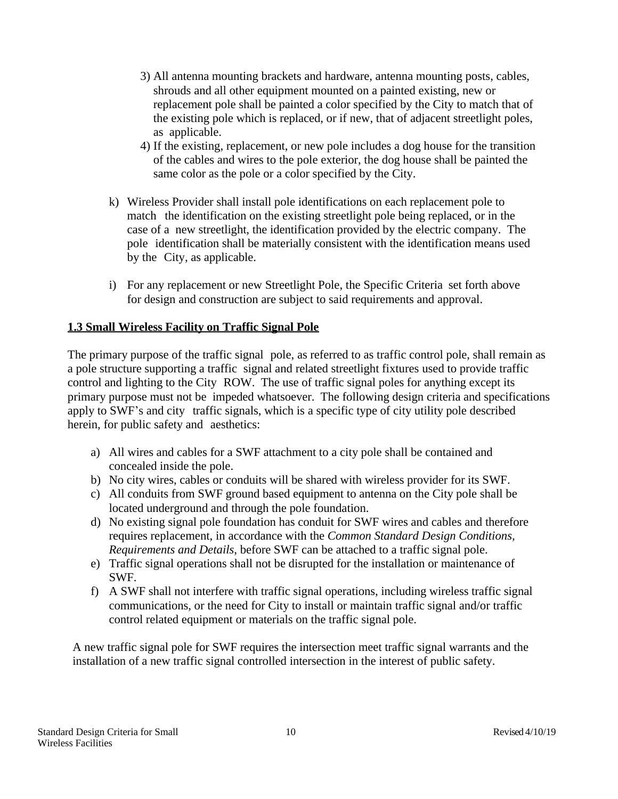- 3) All antenna mounting brackets and hardware, antenna mounting posts, cables, shrouds and all other equipment mounted on a painted existing, new or replacement pole shall be painted a color specified by the City to match that of the existing pole which is replaced, or if new, that of adjacent streetlight poles, as applicable.
- 4) If the existing, replacement, or new pole includes a dog house for the transition of the cables and wires to the pole exterior, the dog house shall be painted the same color as the pole or a color specified by the City.
- k) Wireless Provider shall install pole identifications on each replacement pole to match the identification on the existing streetlight pole being replaced, or in the case of a new streetlight, the identification provided by the electric company. The pole identification shall be materially consistent with the identification means used by the City, as applicable.
- i) For any replacement or new Streetlight Pole, the Specific Criteria set forth above for design and construction are subject to said requirements and approval.

# **1.3 Small Wireless Facility on Traffic Signal Pole**

The primary purpose of the traffic signal pole, as referred to as traffic control pole, shall remain as a pole structure supporting a traffic signal and related streetlight fixtures used to provide traffic control and lighting to the City ROW. The use of traffic signal poles for anything except its primary purpose must not be impeded whatsoever. The following design criteria and specifications apply to SWF's and city traffic signals, which is a specific type of city utility pole described herein, for public safety and aesthetics:

- a) All wires and cables for a SWF attachment to a city pole shall be contained and concealed inside the pole.
- b) No city wires, cables or conduits will be shared with wireless provider for its SWF.
- c) All conduits from SWF ground based equipment to antenna on the City pole shall be located underground and through the pole foundation.
- d) No existing signal pole foundation has conduit for SWF wires and cables and therefore requires replacement, in accordance with the *Common Standard Design Conditions, Requirements and Details*, before SWF can be attached to a traffic signal pole.
- e) Traffic signal operations shall not be disrupted for the installation or maintenance of SWF.
- f) A SWF shall not interfere with traffic signal operations, including wireless traffic signal communications, or the need for City to install or maintain traffic signal and/or traffic control related equipment or materials on the traffic signal pole.

A new traffic signal pole for SWF requires the intersection meet traffic signal warrants and the installation of a new traffic signal controlled intersection in the interest of public safety.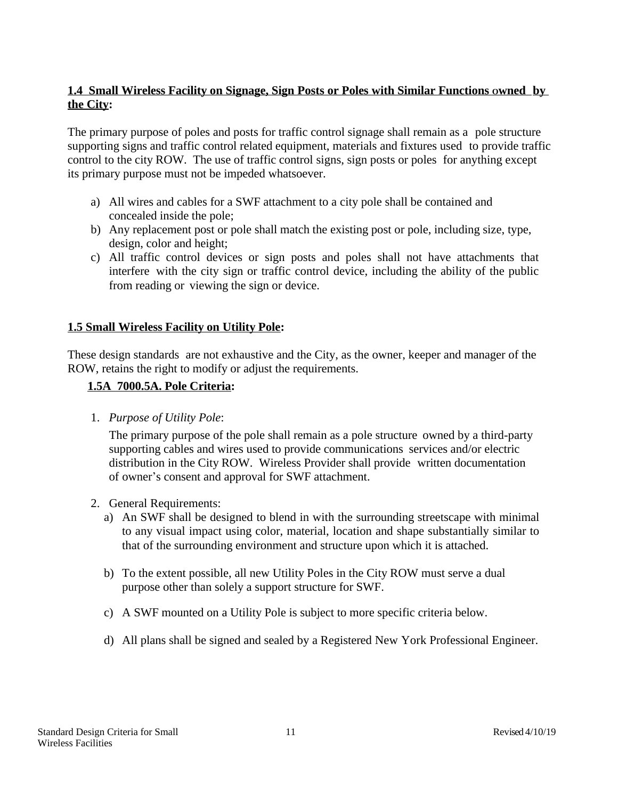# **1.4 Small Wireless Facility on Signage, Sign Posts or Poles with Similar Functions <sup>O</sup>wned by the City:**

The primary purpose of poles and posts for traffic control signage shall remain as a pole structure supporting signs and traffic control related equipment, materials and fixtures used to provide traffic control to the city ROW. The use of traffic control signs, sign posts or poles for anything except its primary purpose must not be impeded whatsoever.

- a) All wires and cables for a SWF attachment to a city pole shall be contained and concealed inside the pole;
- b) Any replacement post or pole shall match the existing post or pole, including size, type, design, color and height;
- c) All traffic control devices or sign posts and poles shall not have attachments that interfere with the city sign or traffic control device, including the ability of the public from reading or viewing the sign or device.

# **1.5 Small Wireless Facility on Utility Pole:**

These design standards are not exhaustive and the City, as the owner, keeper and manager of the ROW, retains the right to modify or adjust the requirements.

# **1.5A 7000.5A. Pole Criteria:**

1. *Purpose of Utility Pole*:

The primary purpose of the pole shall remain as a pole structure owned by a third-party supporting cables and wires used to provide communications services and/or electric distribution in the City ROW. Wireless Provider shall provide written documentation of owner's consent and approval for SWF attachment.

- 2. General Requirements:
	- a) An SWF shall be designed to blend in with the surrounding streetscape with minimal to any visual impact using color, material, location and shape substantially similar to that of the surrounding environment and structure upon which it is attached.
	- b) To the extent possible, all new Utility Poles in the City ROW must serve a dual purpose other than solely a support structure for SWF.
	- c) A SWF mounted on a Utility Pole is subject to more specific criteria below.
	- d) All plans shall be signed and sealed by a Registered New York Professional Engineer.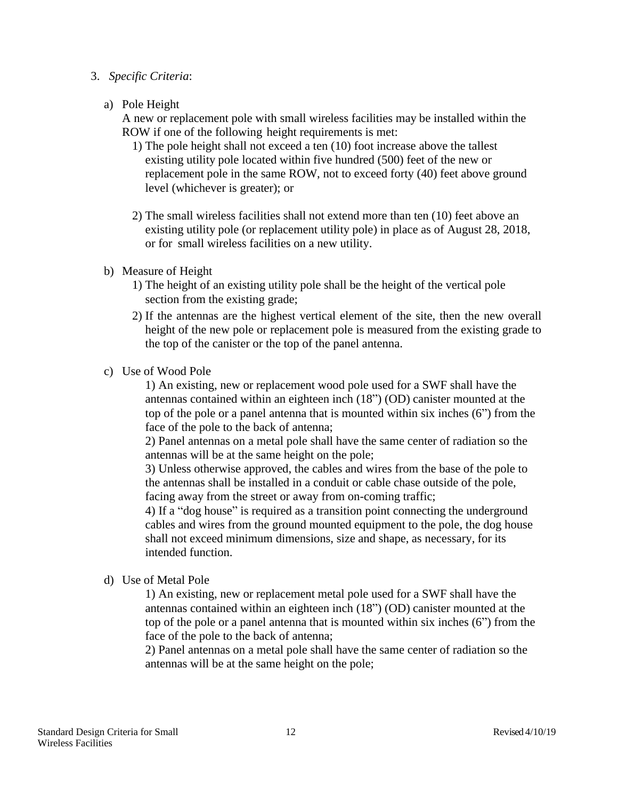#### 3. *Specific Criteria*:

a) Pole Height

A new or replacement pole with small wireless facilities may be installed within the ROW if one of the following height requirements is met:

- 1) The pole height shall not exceed a ten (10) foot increase above the tallest existing utility pole located within five hundred (500) feet of the new or replacement pole in the same ROW, not to exceed forty (40) feet above ground level (whichever is greater); or
- 2) The small wireless facilities shall not extend more than ten (10) feet above an existing utility pole (or replacement utility pole) in place as of August 28, 2018, or for small wireless facilities on a new utility.
- b) Measure of Height
	- 1) The height of an existing utility pole shall be the height of the vertical pole section from the existing grade;
	- 2) If the antennas are the highest vertical element of the site, then the new overall height of the new pole or replacement pole is measured from the existing grade to the top of the canister or the top of the panel antenna.
- c) Use of Wood Pole

1) An existing, new or replacement wood pole used for a SWF shall have the antennas contained within an eighteen inch (18") (OD) canister mounted at the top of the pole or a panel antenna that is mounted within six inches (6") from the face of the pole to the back of antenna;

2) Panel antennas on a metal pole shall have the same center of radiation so the antennas will be at the same height on the pole;

3) Unless otherwise approved, the cables and wires from the base of the pole to the antennas shall be installed in a conduit or cable chase outside of the pole, facing away from the street or away from on-coming traffic;

4) If a "dog house" is required as a transition point connecting the underground cables and wires from the ground mounted equipment to the pole, the dog house shall not exceed minimum dimensions, size and shape, as necessary, for its intended function.

d) Use of Metal Pole

1) An existing, new or replacement metal pole used for a SWF shall have the antennas contained within an eighteen inch (18") (OD) canister mounted at the top of the pole or a panel antenna that is mounted within six inches (6") from the face of the pole to the back of antenna;

2) Panel antennas on a metal pole shall have the same center of radiation so the antennas will be at the same height on the pole;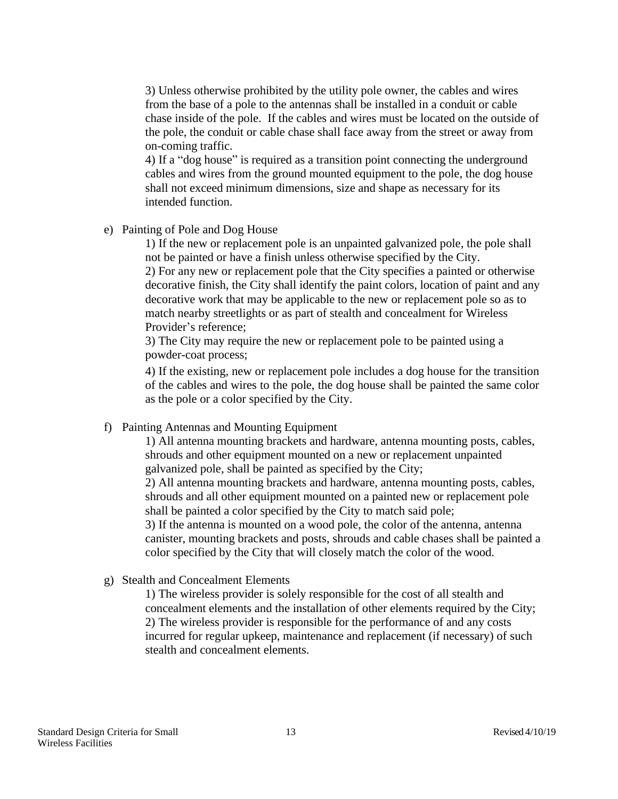3) Unless otherwise prohibited by the utility pole owner, the cables and wires from the base of a pole to the antennas shall be installed in a conduit or cable chase inside of the pole. If the cables and wires must be located on the outside of the pole, the conduit or cable chase shall face away from the street or away from on-coming traffic.

4) If a "dog house" is required as a transition point connecting the underground cables and wires from the ground mounted equipment to the pole, the dog house shall not exceed minimum dimensions, size and shape as necessary for its intended function.

e) Painting of Pole and Dog House

1) If the new or replacement pole is an unpainted galvanized pole, the pole shall not be painted or have a finish unless otherwise specified by the City. 2) For any new or replacement pole that the City specifies a painted or otherwise decorative finish, the City shall identify the paint colors, location of paint and any decorative work that may be applicable to the new or replacement pole so as to match nearby streetlights or as part of stealth and concealment for Wireless Provider's reference;

3) The City may require the new or replacement pole to be painted using a powder-coat process;

4) If the existing, new or replacement pole includes a dog house for the transition of the cables and wires to the pole, the dog house shall be painted the same color as the pole or a color specified by the City.

f) Painting Antennas and Mounting Equipment

1) All antenna mounting brackets and hardware, antenna mounting posts, cables, shrouds and other equipment mounted on a new or replacement unpainted galvanized pole, shall be painted as specified by the City;

2) All antenna mounting brackets and hardware, antenna mounting posts, cables, shrouds and all other equipment mounted on a painted new or replacement pole shall be painted a color specified by the City to match said pole;

3) If the antenna is mounted on a wood pole, the color of the antenna, antenna canister, mounting brackets and posts, shrouds and cable chases shall be painted a color specified by the City that will closely match the color of the wood.

g) Stealth and Concealment Elements

1) The wireless provider is solely responsible for the cost of all stealth and concealment elements and the installation of other elements required by the City; 2) The wireless provider is responsible for the performance of and any costs incurred for regular upkeep, maintenance and replacement (if necessary) of such stealth and concealment elements.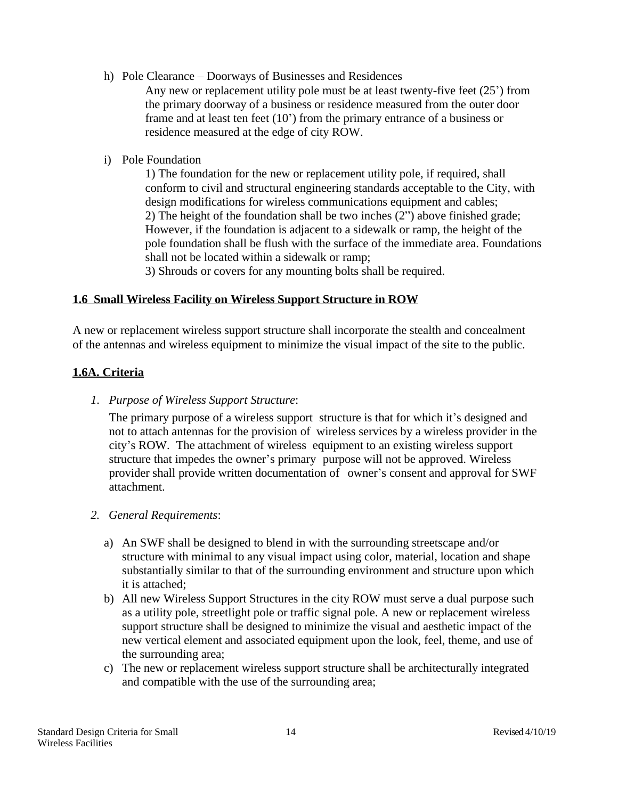h) Pole Clearance – Doorways of Businesses and Residences

Any new or replacement utility pole must be at least twenty-five feet (25') from the primary doorway of a business or residence measured from the outer door frame and at least ten feet (10') from the primary entrance of a business or residence measured at the edge of city ROW.

i) Pole Foundation

1) The foundation for the new or replacement utility pole, if required, shall conform to civil and structural engineering standards acceptable to the City, with design modifications for wireless communications equipment and cables; 2) The height of the foundation shall be two inches (2") above finished grade; However, if the foundation is adjacent to a sidewalk or ramp, the height of the pole foundation shall be flush with the surface of the immediate area. Foundations shall not be located within a sidewalk or ramp;

3) Shrouds or covers for any mounting bolts shall be required.

#### **1.6 Small Wireless Facility on Wireless Support Structure in ROW**

A new or replacement wireless support structure shall incorporate the stealth and concealment of the antennas and wireless equipment to minimize the visual impact of the site to the public.

### **1.6A. Criteria**

*1. Purpose of Wireless Support Structure*:

The primary purpose of a wireless support structure is that for which it's designed and not to attach antennas for the provision of wireless services by a wireless provider in the city's ROW. The attachment of wireless equipment to an existing wireless support structure that impedes the owner's primary purpose will not be approved. Wireless provider shall provide written documentation of owner's consent and approval for SWF attachment.

- *2. General Requirements*:
	- a) An SWF shall be designed to blend in with the surrounding streetscape and/or structure with minimal to any visual impact using color, material, location and shape substantially similar to that of the surrounding environment and structure upon which it is attached;
	- b) All new Wireless Support Structures in the city ROW must serve a dual purpose such as a utility pole, streetlight pole or traffic signal pole. A new or replacement wireless support structure shall be designed to minimize the visual and aesthetic impact of the new vertical element and associated equipment upon the look, feel, theme, and use of the surrounding area;
	- c) The new or replacement wireless support structure shall be architecturally integrated and compatible with the use of the surrounding area;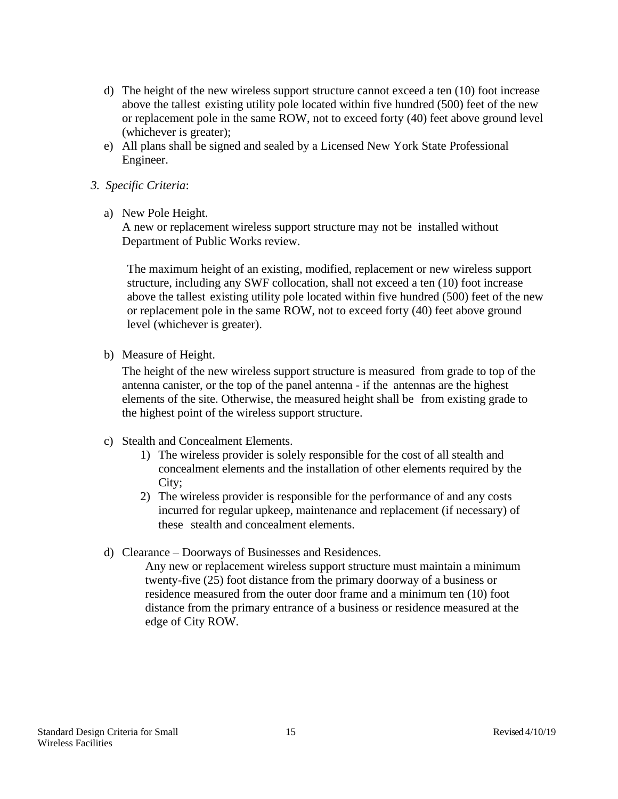- d) The height of the new wireless support structure cannot exceed a ten (10) foot increase above the tallest existing utility pole located within five hundred (500) feet of the new or replacement pole in the same ROW, not to exceed forty (40) feet above ground level (whichever is greater);
- e) All plans shall be signed and sealed by a Licensed New York State Professional Engineer.

#### *3. Specific Criteria*:

a) New Pole Height.

A new or replacement wireless support structure may not be installed without Department of Public Works review.

The maximum height of an existing, modified, replacement or new wireless support structure, including any SWF collocation, shall not exceed a ten (10) foot increase above the tallest existing utility pole located within five hundred (500) feet of the new or replacement pole in the same ROW, not to exceed forty (40) feet above ground level (whichever is greater).

b) Measure of Height.

The height of the new wireless support structure is measured from grade to top of the antenna canister, or the top of the panel antenna - if the antennas are the highest elements of the site. Otherwise, the measured height shall be from existing grade to the highest point of the wireless support structure.

- c) Stealth and Concealment Elements.
	- 1) The wireless provider is solely responsible for the cost of all stealth and concealment elements and the installation of other elements required by the City;
	- 2) The wireless provider is responsible for the performance of and any costs incurred for regular upkeep, maintenance and replacement (if necessary) of these stealth and concealment elements.
- d) Clearance Doorways of Businesses and Residences.

Any new or replacement wireless support structure must maintain a minimum twenty-five (25) foot distance from the primary doorway of a business or residence measured from the outer door frame and a minimum ten (10) foot distance from the primary entrance of a business or residence measured at the edge of City ROW.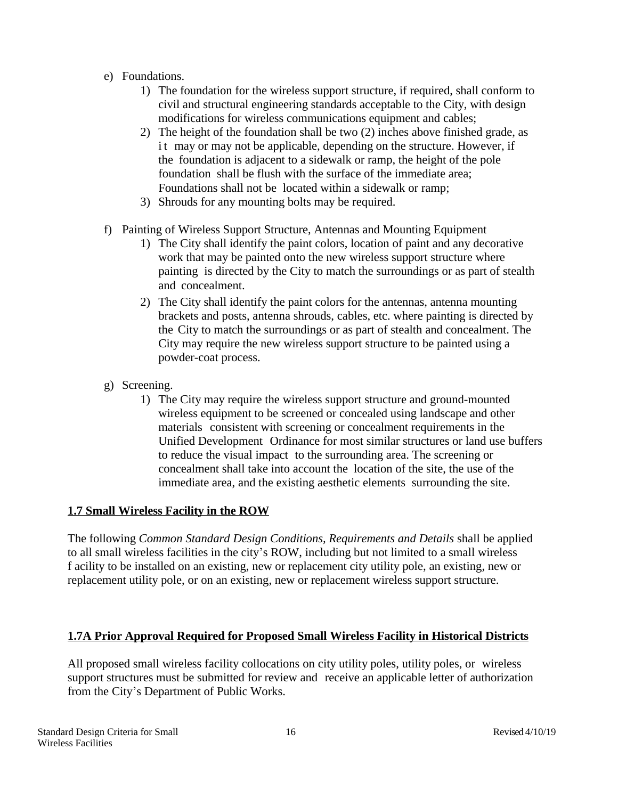- e) Foundations.
	- 1) The foundation for the wireless support structure, if required, shall conform to civil and structural engineering standards acceptable to the City, with design modifications for wireless communications equipment and cables;
	- 2) The height of the foundation shall be two (2) inches above finished grade, as it may or may not be applicable, depending on the structure. However, if the foundation is adjacent to a sidewalk or ramp, the height of the pole foundation shall be flush with the surface of the immediate area; Foundations shall not be located within a sidewalk or ramp;
	- 3) Shrouds for any mounting bolts may be required.
- f) Painting of Wireless Support Structure, Antennas and Mounting Equipment
	- 1) The City shall identify the paint colors, location of paint and any decorative work that may be painted onto the new wireless support structure where painting is directed by the City to match the surroundings or as part of stealth and concealment.
	- 2) The City shall identify the paint colors for the antennas, antenna mounting brackets and posts, antenna shrouds, cables, etc. where painting is directed by the City to match the surroundings or as part of stealth and concealment. The City may require the new wireless support structure to be painted using a powder-coat process.
- g) Screening.
	- 1) The City may require the wireless support structure and ground-mounted wireless equipment to be screened or concealed using landscape and other materials consistent with screening or concealment requirements in the Unified Development Ordinance for most similar structures or land use buffers to reduce the visual impact to the surrounding area. The screening or concealment shall take into account the location of the site, the use of the immediate area, and the existing aesthetic elements surrounding the site.

# **1.7 Small Wireless Facility in the ROW**

The following *Common Standard Design Conditions, Requirements and Details* shall be applied to all small wireless facilities in the city's ROW, including but not limited to a small wireless f acility to be installed on an existing, new or replacement city utility pole, an existing, new or replacement utility pole, or on an existing, new or replacement wireless support structure.

### **1.7A Prior Approval Required for Proposed Small Wireless Facility in Historical Districts**

All proposed small wireless facility collocations on city utility poles, utility poles, or wireless support structures must be submitted for review and receive an applicable letter of authorization from the City's Department of Public Works.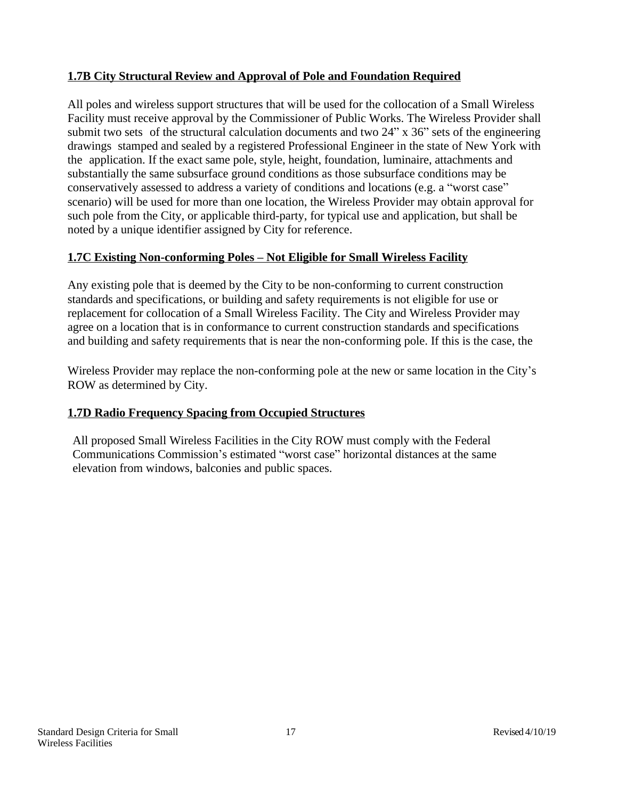# **1.7B City Structural Review and Approval of Pole and Foundation Required**

All poles and wireless support structures that will be used for the collocation of a Small Wireless Facility must receive approval by the Commissioner of Public Works. The Wireless Provider shall submit two sets of the structural calculation documents and two 24" x 36" sets of the engineering drawings stamped and sealed by a registered Professional Engineer in the state of New York with the application. If the exact same pole, style, height, foundation, luminaire, attachments and substantially the same subsurface ground conditions as those subsurface conditions may be conservatively assessed to address a variety of conditions and locations (e.g. a "worst case" scenario) will be used for more than one location, the Wireless Provider may obtain approval for such pole from the City, or applicable third-party, for typical use and application, but shall be noted by a unique identifier assigned by City for reference.

# **1.7C Existing Non-conforming Poles – Not Eligible for Small Wireless Facility**

Any existing pole that is deemed by the City to be non-conforming to current construction standards and specifications, or building and safety requirements is not eligible for use or replacement for collocation of a Small Wireless Facility. The City and Wireless Provider may agree on a location that is in conformance to current construction standards and specifications and building and safety requirements that is near the non-conforming pole. If this is the case, the

Wireless Provider may replace the non-conforming pole at the new or same location in the City's ROW as determined by City.

# **1.7D Radio Frequency Spacing from Occupied Structures**

All proposed Small Wireless Facilities in the City ROW must comply with the Federal Communications Commission's estimated "worst case" horizontal distances at the same elevation from windows, balconies and public spaces.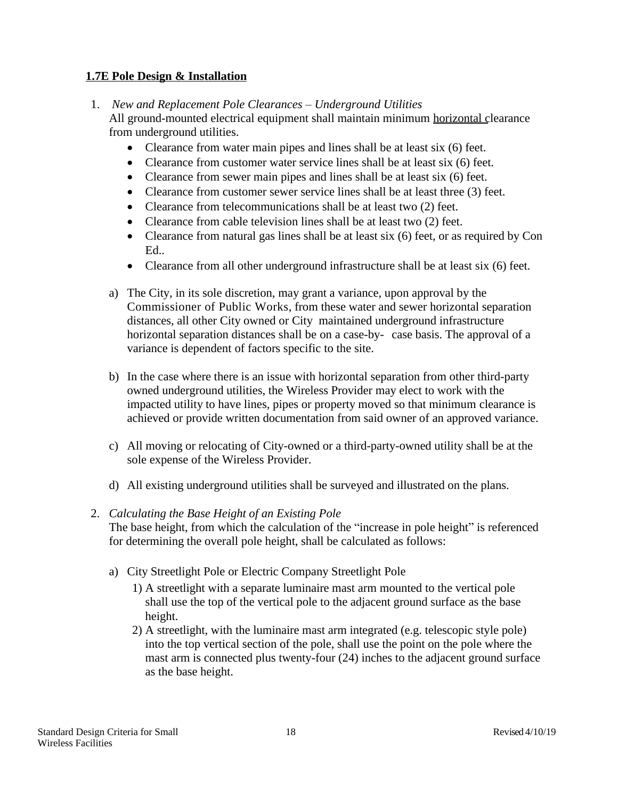### **1.7E Pole Design & Installation**

# 1. *New and Replacement Pole Clearances – Underground Utilities*

All ground-mounted electrical equipment shall maintain minimum horizontal clearance from underground utilities.

- Clearance from water main pipes and lines shall be at least six (6) feet.
- Clearance from customer water service lines shall be at least six (6) feet.
- Clearance from sewer main pipes and lines shall be at least six (6) feet.
- Clearance from customer sewer service lines shall be at least three (3) feet.
- Clearance from telecommunications shall be at least two (2) feet.
- Clearance from cable television lines shall be at least two (2) feet.
- Clearance from natural gas lines shall be at least six (6) feet, or as required by Con Ed..
- Clearance from all other underground infrastructure shall be at least six (6) feet.
- a) The City, in its sole discretion, may grant a variance, upon approval by the Commissioner of Public Works, from these water and sewer horizontal separation distances, all other City owned or City maintained underground infrastructure horizontal separation distances shall be on a case-by- case basis. The approval of a variance is dependent of factors specific to the site.
- b) In the case where there is an issue with horizontal separation from other third-party owned underground utilities, the Wireless Provider may elect to work with the impacted utility to have lines, pipes or property moved so that minimum clearance is achieved or provide written documentation from said owner of an approved variance.
- c) All moving or relocating of City-owned or a third-party-owned utility shall be at the sole expense of the Wireless Provider.
- d) All existing underground utilities shall be surveyed and illustrated on the plans.

# 2. *Calculating the Base Height of an Existing Pole*

The base height, from which the calculation of the "increase in pole height" is referenced for determining the overall pole height, shall be calculated as follows:

- a) City Streetlight Pole or Electric Company Streetlight Pole
	- 1) A streetlight with a separate luminaire mast arm mounted to the vertical pole shall use the top of the vertical pole to the adjacent ground surface as the base height.
	- 2) A streetlight, with the luminaire mast arm integrated (e.g. telescopic style pole) into the top vertical section of the pole, shall use the point on the pole where the mast arm is connected plus twenty-four (24) inches to the adjacent ground surface as the base height.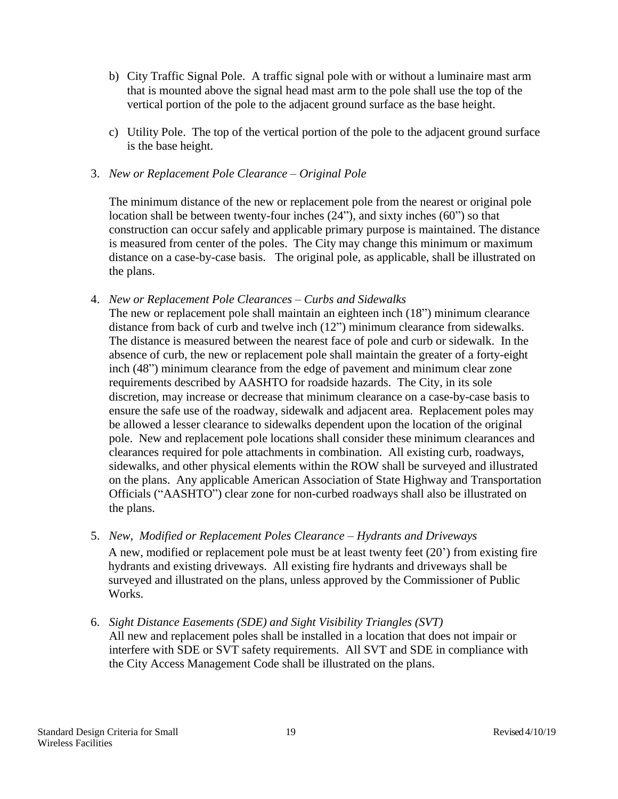- b) City Traffic Signal Pole. A traffic signal pole with or without a luminaire mast arm that is mounted above the signal head mast arm to the pole shall use the top of the vertical portion of the pole to the adjacent ground surface as the base height.
- c) Utility Pole. The top of the vertical portion of the pole to the adjacent ground surface is the base height.

## 3. *New or Replacement Pole Clearance – Original Pole*

The minimum distance of the new or replacement pole from the nearest or original pole location shall be between twenty-four inches (24"), and sixty inches (60") so that construction can occur safely and applicable primary purpose is maintained. The distance is measured from center of the poles. The City may change this minimum or maximum distance on a case-by-case basis. The original pole, as applicable, shall be illustrated on the plans.

4. *New or Replacement Pole Clearances – Curbs and Sidewalks*

The new or replacement pole shall maintain an eighteen inch (18") minimum clearance distance from back of curb and twelve inch (12") minimum clearance from sidewalks. The distance is measured between the nearest face of pole and curb or sidewalk. In the absence of curb, the new or replacement pole shall maintain the greater of a forty-eight inch (48") minimum clearance from the edge of pavement and minimum clear zone requirements described by AASHTO for roadside hazards. The City, in its sole discretion, may increase or decrease that minimum clearance on a case-by-case basis to ensure the safe use of the roadway, sidewalk and adjacent area. Replacement poles may be allowed a lesser clearance to sidewalks dependent upon the location of the original pole. New and replacement pole locations shall consider these minimum clearances and clearances required for pole attachments in combination. All existing curb, roadways, sidewalks, and other physical elements within the ROW shall be surveyed and illustrated on the plans. Any applicable American Association of State Highway and Transportation Officials ("AASHTO") clear zone for non-curbed roadways shall also be illustrated on the plans.

- 5. *New, Modified or Replacement Poles Clearance – Hydrants and Driveways* A new, modified or replacement pole must be at least twenty feet (20') from existing fire hydrants and existing driveways. All existing fire hydrants and driveways shall be surveyed and illustrated on the plans, unless approved by the Commissioner of Public Works.
- 6. *Sight Distance Easements (SDE) and Sight Visibility Triangles (SVT)* All new and replacement poles shall be installed in a location that does not impair or interfere with SDE or SVT safety requirements. All SVT and SDE in compliance with the City Access Management Code shall be illustrated on the plans.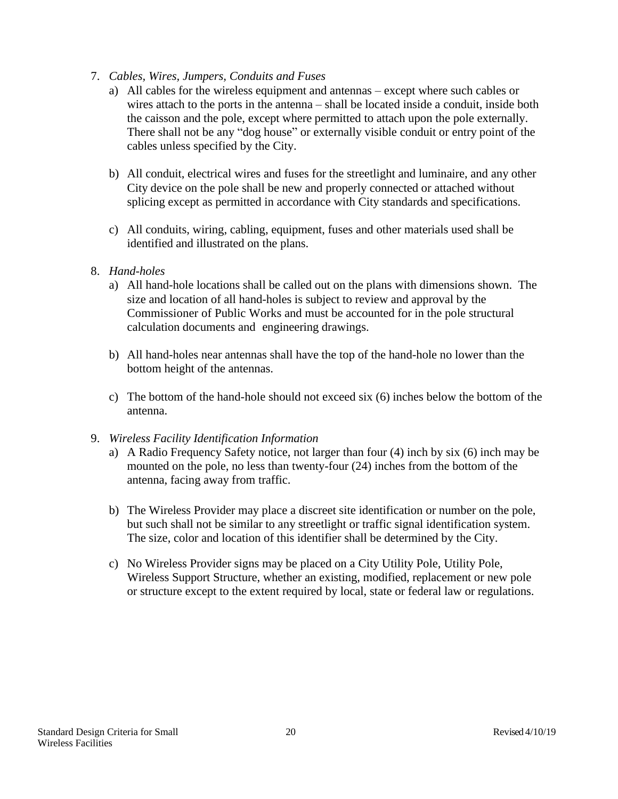- 7. *Cables, Wires, Jumpers, Conduits and Fuses*
	- a) All cables for the wireless equipment and antennas except where such cables or wires attach to the ports in the antenna – shall be located inside a conduit, inside both the caisson and the pole, except where permitted to attach upon the pole externally. There shall not be any "dog house" or externally visible conduit or entry point of the cables unless specified by the City.
	- b) All conduit, electrical wires and fuses for the streetlight and luminaire, and any other City device on the pole shall be new and properly connected or attached without splicing except as permitted in accordance with City standards and specifications.
	- c) All conduits, wiring, cabling, equipment, fuses and other materials used shall be identified and illustrated on the plans.
- 8. *Hand-holes*
	- a) All hand-hole locations shall be called out on the plans with dimensions shown. The size and location of all hand-holes is subject to review and approval by the Commissioner of Public Works and must be accounted for in the pole structural calculation documents and engineering drawings.
	- b) All hand-holes near antennas shall have the top of the hand-hole no lower than the bottom height of the antennas.
	- c) The bottom of the hand-hole should not exceed six (6) inches below the bottom of the antenna.
- 9. *Wireless Facility Identification Information*
	- a) A Radio Frequency Safety notice, not larger than four (4) inch by six (6) inch may be mounted on the pole, no less than twenty-four (24) inches from the bottom of the antenna, facing away from traffic.
	- b) The Wireless Provider may place a discreet site identification or number on the pole, but such shall not be similar to any streetlight or traffic signal identification system. The size, color and location of this identifier shall be determined by the City.
	- c) No Wireless Provider signs may be placed on a City Utility Pole, Utility Pole, Wireless Support Structure, whether an existing, modified, replacement or new pole or structure except to the extent required by local, state or federal law or regulations.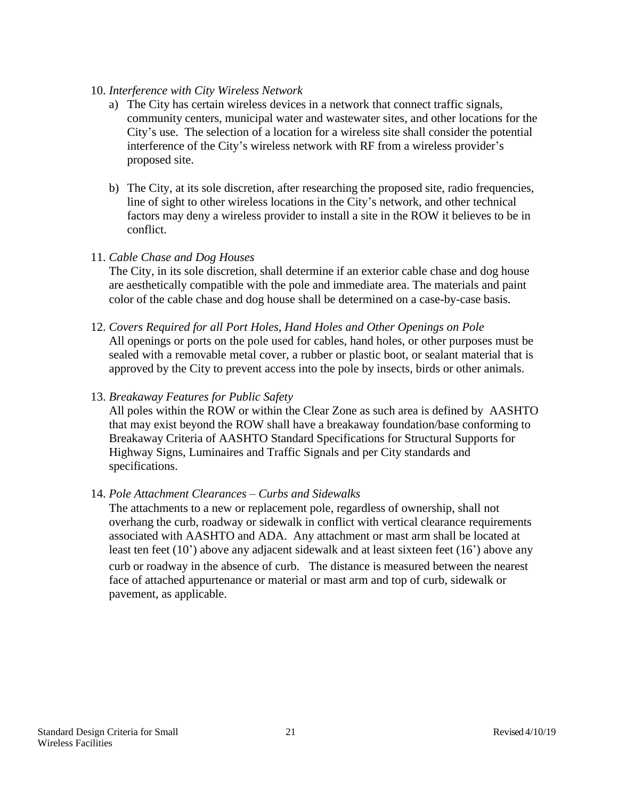#### 10. *Interference with City Wireless Network*

- a) The City has certain wireless devices in a network that connect traffic signals, community centers, municipal water and wastewater sites, and other locations for the City's use. The selection of a location for a wireless site shall consider the potential interference of the City's wireless network with RF from a wireless provider's proposed site.
- b) The City, at its sole discretion, after researching the proposed site, radio frequencies, line of sight to other wireless locations in the City's network, and other technical factors may deny a wireless provider to install a site in the ROW it believes to be in conflict.

### 11. *Cable Chase and Dog Houses*

The City, in its sole discretion, shall determine if an exterior cable chase and dog house are aesthetically compatible with the pole and immediate area. The materials and paint color of the cable chase and dog house shall be determined on a case-by-case basis.

12. *Covers Required for all Port Holes, Hand Holes and Other Openings on Pole* All openings or ports on the pole used for cables, hand holes, or other purposes must be sealed with a removable metal cover, a rubber or plastic boot, or sealant material that is approved by the City to prevent access into the pole by insects, birds or other animals.

#### 13. *Breakaway Features for Public Safety*

All poles within the ROW or within the Clear Zone as such area is defined by AASHTO that may exist beyond the ROW shall have a breakaway foundation/base conforming to Breakaway Criteria of AASHTO Standard Specifications for Structural Supports for Highway Signs, Luminaires and Traffic Signals and per City standards and specifications.

### 14. *Pole Attachment Clearances – Curbs and Sidewalks*

The attachments to a new or replacement pole, regardless of ownership, shall not overhang the curb, roadway or sidewalk in conflict with vertical clearance requirements associated with AASHTO and ADA. Any attachment or mast arm shall be located at least ten feet (10') above any adjacent sidewalk and at least sixteen feet (16') above any curb or roadway in the absence of curb. The distance is measured between the nearest face of attached appurtenance or material or mast arm and top of curb, sidewalk or pavement, as applicable.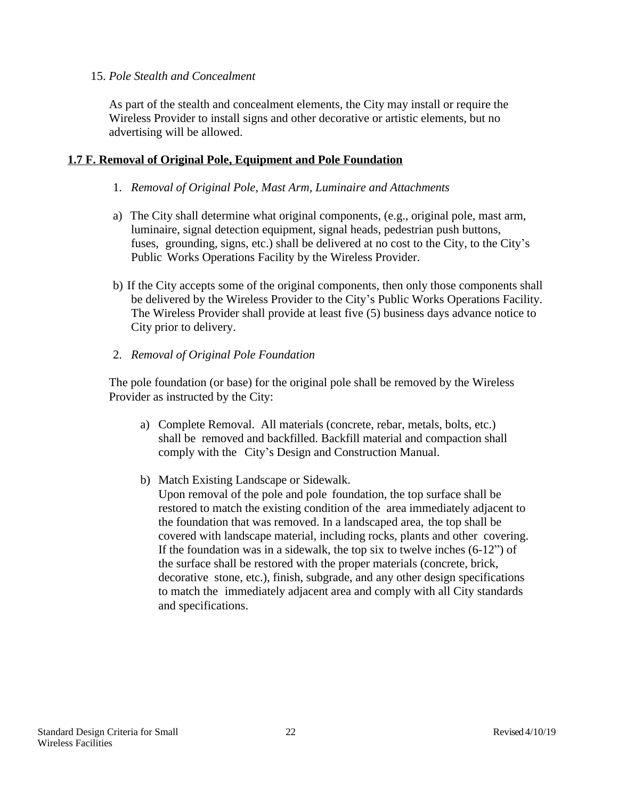#### 15. *Pole Stealth and Concealment*

As part of the stealth and concealment elements, the City may install or require the Wireless Provider to install signs and other decorative or artistic elements, but no advertising will be allowed.

#### **1.7 F. Removal of Original Pole, Equipment and Pole Foundation**

- 1. *Removal of Original Pole, Mast Arm, Luminaire and Attachments*
- a) The City shall determine what original components, (e.g., original pole, mast arm, luminaire, signal detection equipment, signal heads, pedestrian push buttons, fuses, grounding, signs, etc.) shall be delivered at no cost to the City, to the City's Public Works Operations Facility by the Wireless Provider.
- b) If the City accepts some of the original components, then only those components shall be delivered by the Wireless Provider to the City's Public Works Operations Facility. The Wireless Provider shall provide at least five (5) business days advance notice to City prior to delivery.
- 2. *Removal of Original Pole Foundation*

The pole foundation (or base) for the original pole shall be removed by the Wireless Provider as instructed by the City:

- a) Complete Removal. All materials (concrete, rebar, metals, bolts, etc.) shall be removed and backfilled. Backfill material and compaction shall comply with the City's Design and Construction Manual.
- b) Match Existing Landscape or Sidewalk.
	- Upon removal of the pole and pole foundation, the top surface shall be restored to match the existing condition of the area immediately adjacent to the foundation that was removed. In a landscaped area, the top shall be covered with landscape material, including rocks, plants and other covering. If the foundation was in a sidewalk, the top six to twelve inches (6-12") of the surface shall be restored with the proper materials (concrete, brick, decorative stone, etc.), finish, subgrade, and any other design specifications to match the immediately adjacent area and comply with all City standards and specifications.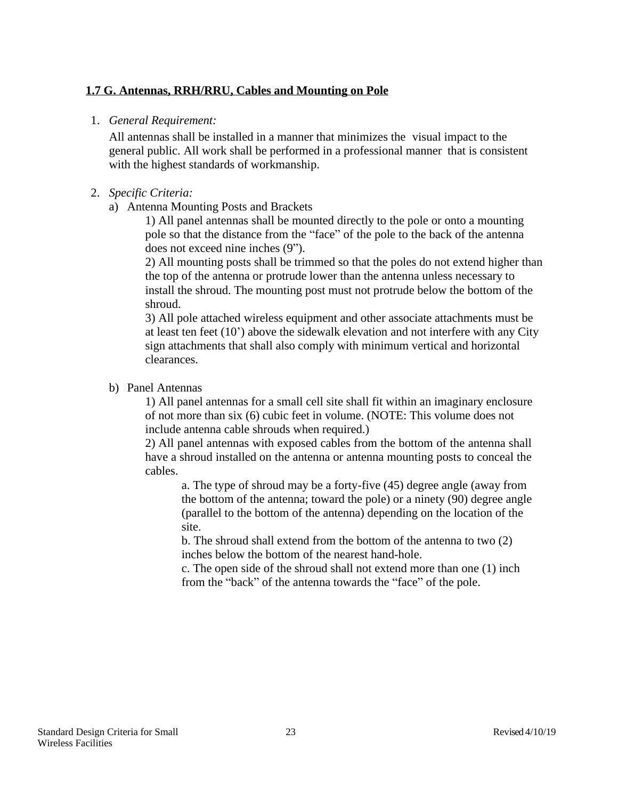## **1.7 G. Antennas, RRH/RRU, Cables and Mounting on Pole**

#### 1. *General Requirement:*

All antennas shall be installed in a manner that minimizes the visual impact to the general public. All work shall be performed in a professional manner that is consistent with the highest standards of workmanship.

### 2. *Specific Criteria:*

a) Antenna Mounting Posts and Brackets

1) All panel antennas shall be mounted directly to the pole or onto a mounting pole so that the distance from the "face" of the pole to the back of the antenna does not exceed nine inches (9").

2) All mounting posts shall be trimmed so that the poles do not extend higher than the top of the antenna or protrude lower than the antenna unless necessary to install the shroud. The mounting post must not protrude below the bottom of the shroud.

3) All pole attached wireless equipment and other associate attachments must be at least ten feet  $(10^{\circ})$  above the sidewalk elevation and not interfere with any City sign attachments that shall also comply with minimum vertical and horizontal clearances.

### b) Panel Antennas

1) All panel antennas for a small cell site shall fit within an imaginary enclosure of not more than six (6) cubic feet in volume. (NOTE: This volume does not include antenna cable shrouds when required.)

2) All panel antennas with exposed cables from the bottom of the antenna shall have a shroud installed on the antenna or antenna mounting posts to conceal the cables.

a. The type of shroud may be a forty-five (45) degree angle (away from the bottom of the antenna; toward the pole) or a ninety (90) degree angle (parallel to the bottom of the antenna) depending on the location of the site.

b. The shroud shall extend from the bottom of the antenna to two (2) inches below the bottom of the nearest hand-hole.

c. The open side of the shroud shall not extend more than one (1) inch from the "back" of the antenna towards the "face" of the pole.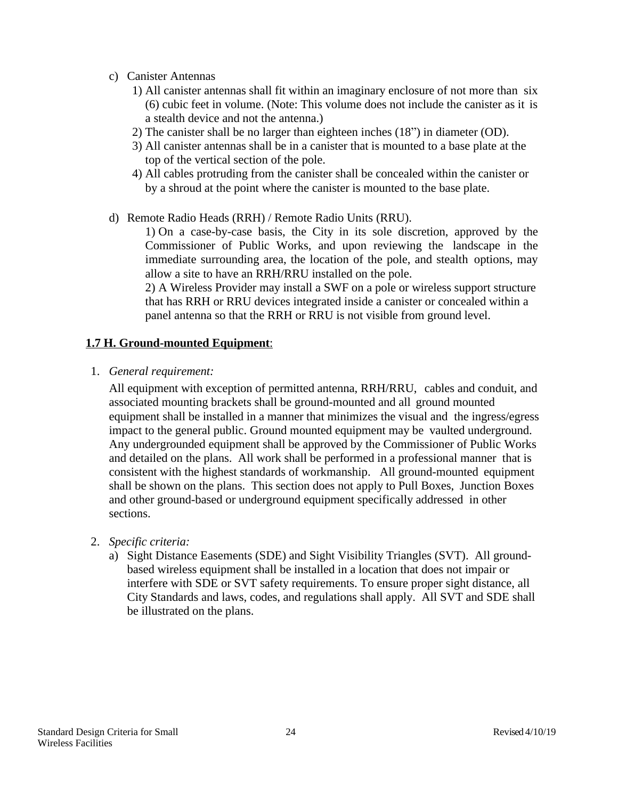- c) Canister Antennas
	- 1) All canister antennas shall fit within an imaginary enclosure of not more than six (6) cubic feet in volume. (Note: This volume does not include the canister as it is a stealth device and not the antenna.)
	- 2) The canister shall be no larger than eighteen inches (18") in diameter (OD).
	- 3) All canister antennas shall be in a canister that is mounted to a base plate at the top of the vertical section of the pole.
	- 4) All cables protruding from the canister shall be concealed within the canister or by a shroud at the point where the canister is mounted to the base plate.
- d) Remote Radio Heads (RRH) / Remote Radio Units (RRU).

1) On a case-by-case basis, the City in its sole discretion, approved by the Commissioner of Public Works, and upon reviewing the landscape in the immediate surrounding area, the location of the pole, and stealth options, may allow a site to have an RRH/RRU installed on the pole.

2) A Wireless Provider may install a SWF on a pole or wireless support structure that has RRH or RRU devices integrated inside a canister or concealed within a panel antenna so that the RRH or RRU is not visible from ground level.

#### **1.7 H. Ground-mounted Equipment**:

1. *General requirement:*

All equipment with exception of permitted antenna, RRH/RRU, cables and conduit, and associated mounting brackets shall be ground-mounted and all ground mounted equipment shall be installed in a manner that minimizes the visual and the ingress/egress impact to the general public. Ground mounted equipment may be vaulted underground. Any undergrounded equipment shall be approved by the Commissioner of Public Works and detailed on the plans. All work shall be performed in a professional manner that is consistent with the highest standards of workmanship. All ground-mounted equipment shall be shown on the plans. This section does not apply to Pull Boxes, Junction Boxes and other ground-based or underground equipment specifically addressed in other sections.

- 2. *Specific criteria:*
	- a) Sight Distance Easements (SDE) and Sight Visibility Triangles (SVT). All groundbased wireless equipment shall be installed in a location that does not impair or interfere with SDE or SVT safety requirements. To ensure proper sight distance, all City Standards and laws, codes, and regulations shall apply. All SVT and SDE shall be illustrated on the plans.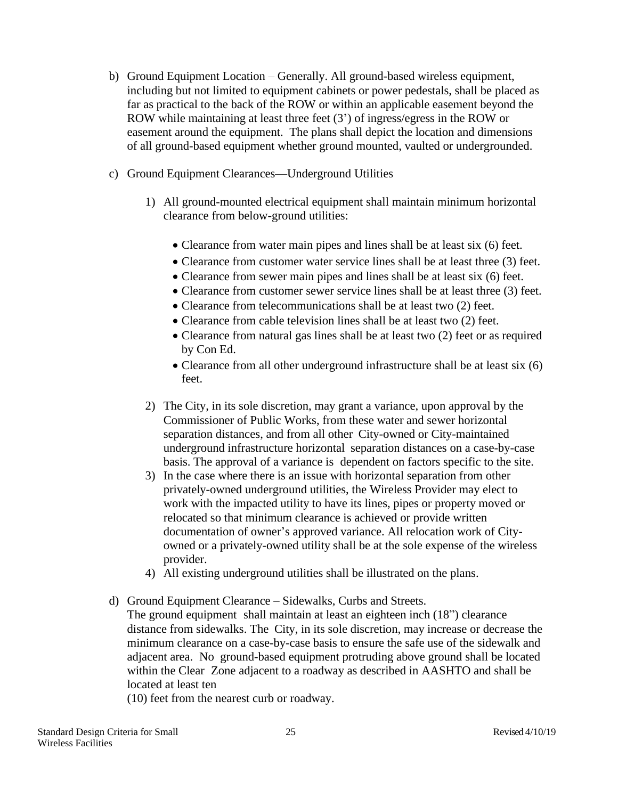- b) Ground Equipment Location Generally. All ground-based wireless equipment, including but not limited to equipment cabinets or power pedestals, shall be placed as far as practical to the back of the ROW or within an applicable easement beyond the ROW while maintaining at least three feet (3') of ingress/egress in the ROW or easement around the equipment. The plans shall depict the location and dimensions of all ground-based equipment whether ground mounted, vaulted or undergrounded.
- c) Ground Equipment Clearances—Underground Utilities
	- 1) All ground-mounted electrical equipment shall maintain minimum horizontal clearance from below-ground utilities:
		- Clearance from water main pipes and lines shall be at least six (6) feet.
		- Clearance from customer water service lines shall be at least three (3) feet.
		- Clearance from sewer main pipes and lines shall be at least six (6) feet.
		- Clearance from customer sewer service lines shall be at least three (3) feet.
		- Clearance from telecommunications shall be at least two (2) feet.
		- Clearance from cable television lines shall be at least two (2) feet.
		- Clearance from natural gas lines shall be at least two (2) feet or as required by Con Ed.
		- Clearance from all other underground infrastructure shall be at least six (6) feet.
	- 2) The City, in its sole discretion, may grant a variance, upon approval by the Commissioner of Public Works, from these water and sewer horizontal separation distances, and from all other City-owned or City-maintained underground infrastructure horizontal separation distances on a case-by-case basis. The approval of a variance is dependent on factors specific to the site.
	- 3) In the case where there is an issue with horizontal separation from other privately-owned underground utilities, the Wireless Provider may elect to work with the impacted utility to have its lines, pipes or property moved or relocated so that minimum clearance is achieved or provide written documentation of owner's approved variance. All relocation work of Cityowned or a privately-owned utility shall be at the sole expense of the wireless provider.
	- 4) All existing underground utilities shall be illustrated on the plans.
- d) Ground Equipment Clearance Sidewalks, Curbs and Streets.

The ground equipment shall maintain at least an eighteen inch (18") clearance distance from sidewalks. The City, in its sole discretion, may increase or decrease the minimum clearance on a case-by-case basis to ensure the safe use of the sidewalk and adjacent area. No ground-based equipment protruding above ground shall be located within the Clear Zone adjacent to a roadway as described in AASHTO and shall be located at least ten

(10) feet from the nearest curb or roadway.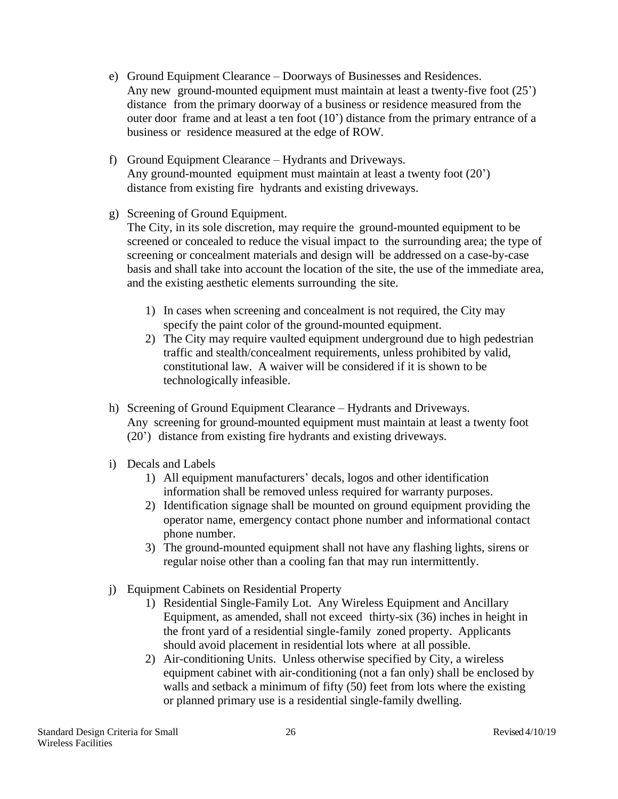- e) Ground Equipment Clearance Doorways of Businesses and Residences. Any new ground-mounted equipment must maintain at least a twenty-five foot (25') distance from the primary doorway of a business or residence measured from the outer door frame and at least a ten foot (10') distance from the primary entrance of a business or residence measured at the edge of ROW.
- f) Ground Equipment Clearance Hydrants and Driveways. Any ground-mounted equipment must maintain at least a twenty foot (20') distance from existing fire hydrants and existing driveways.
- g) Screening of Ground Equipment.

The City, in its sole discretion, may require the ground-mounted equipment to be screened or concealed to reduce the visual impact to the surrounding area; the type of screening or concealment materials and design will be addressed on a case-by-case basis and shall take into account the location of the site, the use of the immediate area, and the existing aesthetic elements surrounding the site.

- 1) In cases when screening and concealment is not required, the City may specify the paint color of the ground-mounted equipment.
- 2) The City may require vaulted equipment underground due to high pedestrian traffic and stealth/concealment requirements, unless prohibited by valid, constitutional law. A waiver will be considered if it is shown to be technologically infeasible.
- h) Screening of Ground Equipment Clearance Hydrants and Driveways. Any screening for ground-mounted equipment must maintain at least a twenty foot (20') distance from existing fire hydrants and existing driveways.
- i) Decals and Labels
	- 1) All equipment manufacturers' decals, logos and other identification information shall be removed unless required for warranty purposes.
	- 2) Identification signage shall be mounted on ground equipment providing the operator name, emergency contact phone number and informational contact phone number.
	- 3) The ground-mounted equipment shall not have any flashing lights, sirens or regular noise other than a cooling fan that may run intermittently.
- j) Equipment Cabinets on Residential Property
	- 1) Residential Single-Family Lot. Any Wireless Equipment and Ancillary Equipment, as amended, shall not exceed thirty-six (36) inches in height in the front yard of a residential single-family zoned property. Applicants should avoid placement in residential lots where at all possible.
	- 2) Air-conditioning Units. Unless otherwise specified by City, a wireless equipment cabinet with air-conditioning (not a fan only) shall be enclosed by walls and setback a minimum of fifty (50) feet from lots where the existing or planned primary use is a residential single-family dwelling.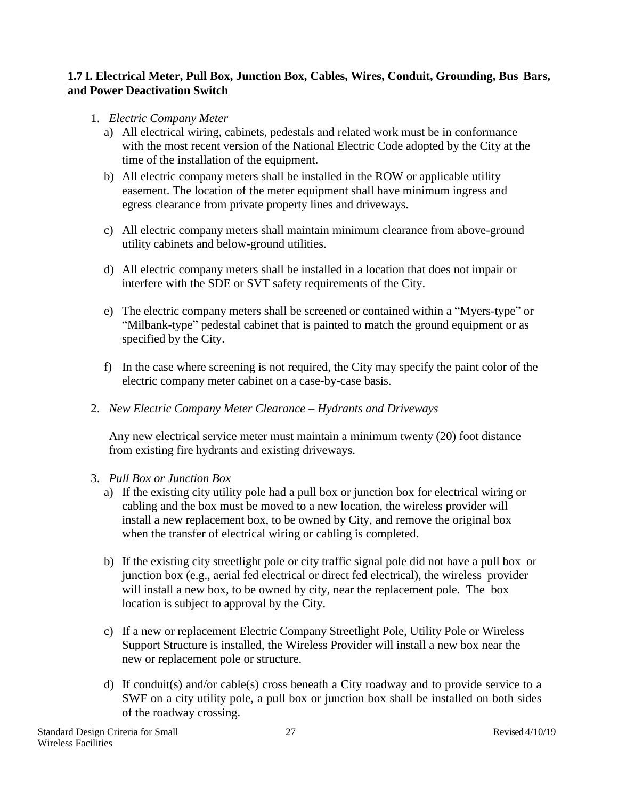# **1.7 I. Electrical Meter, Pull Box, Junction Box, Cables, Wires, Conduit, Grounding, Bus Bars, and Power Deactivation Switch**

- 1. *Electric Company Meter*
	- a) All electrical wiring, cabinets, pedestals and related work must be in conformance with the most recent version of the National Electric Code adopted by the City at the time of the installation of the equipment.
	- b) All electric company meters shall be installed in the ROW or applicable utility easement. The location of the meter equipment shall have minimum ingress and egress clearance from private property lines and driveways.
	- c) All electric company meters shall maintain minimum clearance from above-ground utility cabinets and below-ground utilities.
	- d) All electric company meters shall be installed in a location that does not impair or interfere with the SDE or SVT safety requirements of the City.
	- e) The electric company meters shall be screened or contained within a "Myers-type" or "Milbank-type" pedestal cabinet that is painted to match the ground equipment or as specified by the City.
	- f) In the case where screening is not required, the City may specify the paint color of the electric company meter cabinet on a case-by-case basis.
- 2. *New Electric Company Meter Clearance – Hydrants and Driveways*

Any new electrical service meter must maintain a minimum twenty (20) foot distance from existing fire hydrants and existing driveways.

- 3. *Pull Box or Junction Box*
	- a) If the existing city utility pole had a pull box or junction box for electrical wiring or cabling and the box must be moved to a new location, the wireless provider will install a new replacement box, to be owned by City, and remove the original box when the transfer of electrical wiring or cabling is completed.
	- b) If the existing city streetlight pole or city traffic signal pole did not have a pull box or junction box (e.g., aerial fed electrical or direct fed electrical), the wireless provider will install a new box, to be owned by city, near the replacement pole. The box location is subject to approval by the City.
	- c) If a new or replacement Electric Company Streetlight Pole, Utility Pole or Wireless Support Structure is installed, the Wireless Provider will install a new box near the new or replacement pole or structure.
	- d) If conduit(s) and/or cable(s) cross beneath a City roadway and to provide service to a SWF on a city utility pole, a pull box or junction box shall be installed on both sides of the roadway crossing.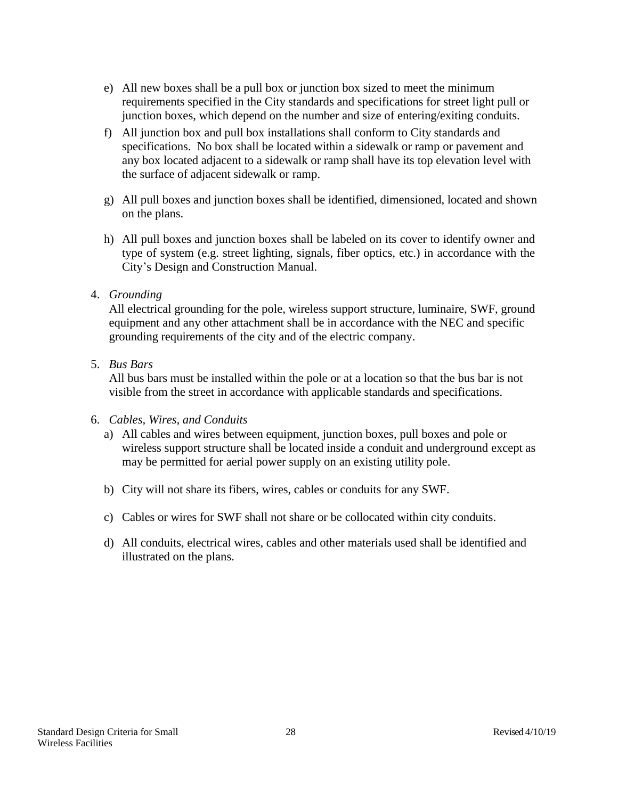- e) All new boxes shall be a pull box or junction box sized to meet the minimum requirements specified in the City standards and specifications for street light pull or junction boxes, which depend on the number and size of entering/exiting conduits.
- f) All junction box and pull box installations shall conform to City standards and specifications. No box shall be located within a sidewalk or ramp or pavement and any box located adjacent to a sidewalk or ramp shall have its top elevation level with the surface of adjacent sidewalk or ramp.
- g) All pull boxes and junction boxes shall be identified, dimensioned, located and shown on the plans.
- h) All pull boxes and junction boxes shall be labeled on its cover to identify owner and type of system (e.g. street lighting, signals, fiber optics, etc.) in accordance with the City's Design and Construction Manual.

## 4. *Grounding*

All electrical grounding for the pole, wireless support structure, luminaire, SWF, ground equipment and any other attachment shall be in accordance with the NEC and specific grounding requirements of the city and of the electric company.

## 5. *Bus Bars*

All bus bars must be installed within the pole or at a location so that the bus bar is not visible from the street in accordance with applicable standards and specifications.

### 6. *Cables, Wires, and Conduits*

- a) All cables and wires between equipment, junction boxes, pull boxes and pole or wireless support structure shall be located inside a conduit and underground except as may be permitted for aerial power supply on an existing utility pole.
- b) City will not share its fibers, wires, cables or conduits for any SWF.
- c) Cables or wires for SWF shall not share or be collocated within city conduits.
- d) All conduits, electrical wires, cables and other materials used shall be identified and illustrated on the plans.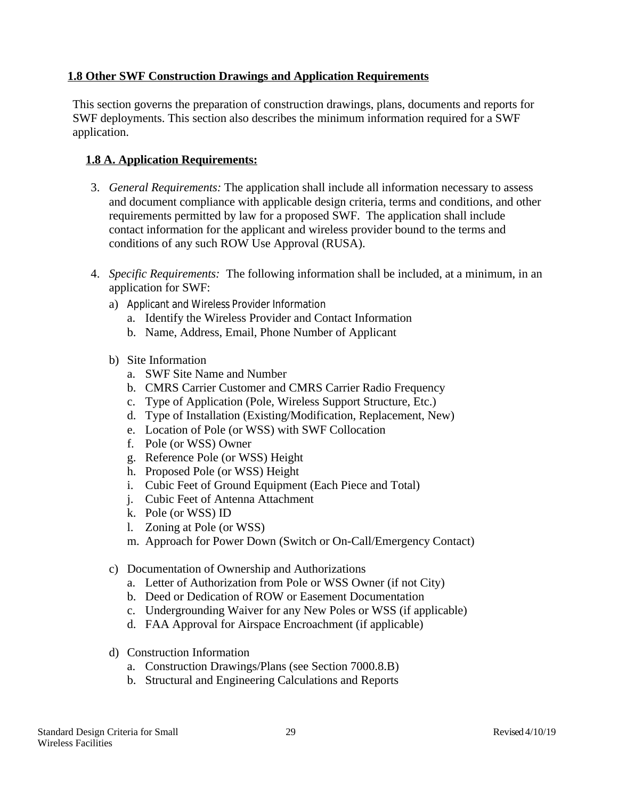# **1.8 Other SWF Construction Drawings and Application Requirements**

This section governs the preparation of construction drawings, plans, documents and reports for SWF deployments. This section also describes the minimum information required for a SWF application.

### **1.8 A. Application Requirements:**

- 3. *General Requirements:* The application shall include all information necessary to assess and document compliance with applicable design criteria, terms and conditions, and other requirements permitted by law for a proposed SWF. The application shall include contact information for the applicant and wireless provider bound to the terms and conditions of any such ROW Use Approval (RUSA).
- 4. *Specific Requirements:* The following information shall be included, at a minimum, in an application for SWF:
	- a) Applicant and Wireless Provider Information
		- a. Identify the Wireless Provider and Contact Information
		- b. Name, Address, Email, Phone Number of Applicant
	- b) Site Information
		- a. SWF Site Name and Number
		- b. CMRS Carrier Customer and CMRS Carrier Radio Frequency
		- c. Type of Application (Pole, Wireless Support Structure, Etc.)
		- d. Type of Installation (Existing/Modification, Replacement, New)
		- e. Location of Pole (or WSS) with SWF Collocation
		- f. Pole (or WSS) Owner
		- g. Reference Pole (or WSS) Height
		- h. Proposed Pole (or WSS) Height
		- i. Cubic Feet of Ground Equipment (Each Piece and Total)
		- j. Cubic Feet of Antenna Attachment
		- k. Pole (or WSS) ID
		- l. Zoning at Pole (or WSS)
		- m. Approach for Power Down (Switch or On-Call/Emergency Contact)
	- c) Documentation of Ownership and Authorizations
		- a. Letter of Authorization from Pole or WSS Owner (if not City)
		- b. Deed or Dedication of ROW or Easement Documentation
		- c. Undergrounding Waiver for any New Poles or WSS (if applicable)
		- d. FAA Approval for Airspace Encroachment (if applicable)
	- d) Construction Information
		- a. Construction Drawings/Plans (see Section 7000.8.B)
		- b. Structural and Engineering Calculations and Reports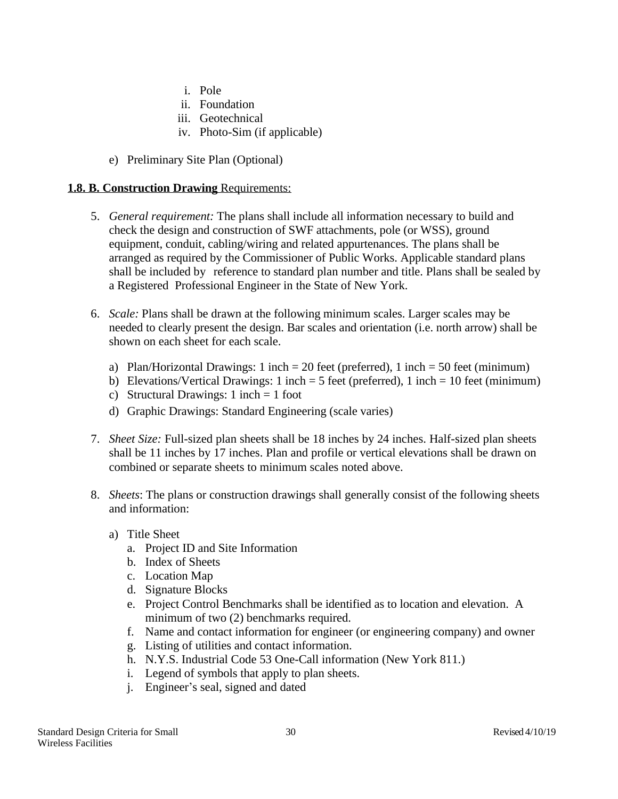- i. Pole
- ii. Foundation
- iii. Geotechnical
- iv. Photo-Sim (if applicable)
- e) Preliminary Site Plan (Optional)

## **1.8. B. Construction Drawing** Requirements:

- 5. *General requirement:* The plans shall include all information necessary to build and check the design and construction of SWF attachments, pole (or WSS), ground equipment, conduit, cabling/wiring and related appurtenances. The plans shall be arranged as required by the Commissioner of Public Works. Applicable standard plans shall be included by reference to standard plan number and title. Plans shall be sealed by a Registered Professional Engineer in the State of New York.
- 6. *Scale:* Plans shall be drawn at the following minimum scales. Larger scales may be needed to clearly present the design. Bar scales and orientation (i.e. north arrow) shall be shown on each sheet for each scale.
	- a) Plan/Horizontal Drawings: 1 inch = 20 feet (preferred), 1 inch = 50 feet (minimum)
	- b) Elevations/Vertical Drawings: 1 inch = 5 feet (preferred), 1 inch = 10 feet (minimum)
	- c) Structural Drawings:  $1$  inch  $= 1$  foot
	- d) Graphic Drawings: Standard Engineering (scale varies)
- 7. *Sheet Size:* Full-sized plan sheets shall be 18 inches by 24 inches. Half-sized plan sheets shall be 11 inches by 17 inches. Plan and profile or vertical elevations shall be drawn on combined or separate sheets to minimum scales noted above.
- 8. *Sheets*: The plans or construction drawings shall generally consist of the following sheets and information:
	- a) Title Sheet
		- a. Project ID and Site Information
		- b. Index of Sheets
		- c. Location Map
		- d. Signature Blocks
		- e. Project Control Benchmarks shall be identified as to location and elevation. A minimum of two (2) benchmarks required.
		- f. Name and contact information for engineer (or engineering company) and owner
		- g. Listing of utilities and contact information.
		- h. N.Y.S. Industrial Code 53 One-Call information (New York 811.)
		- i. Legend of symbols that apply to plan sheets.
		- j. Engineer's seal, signed and dated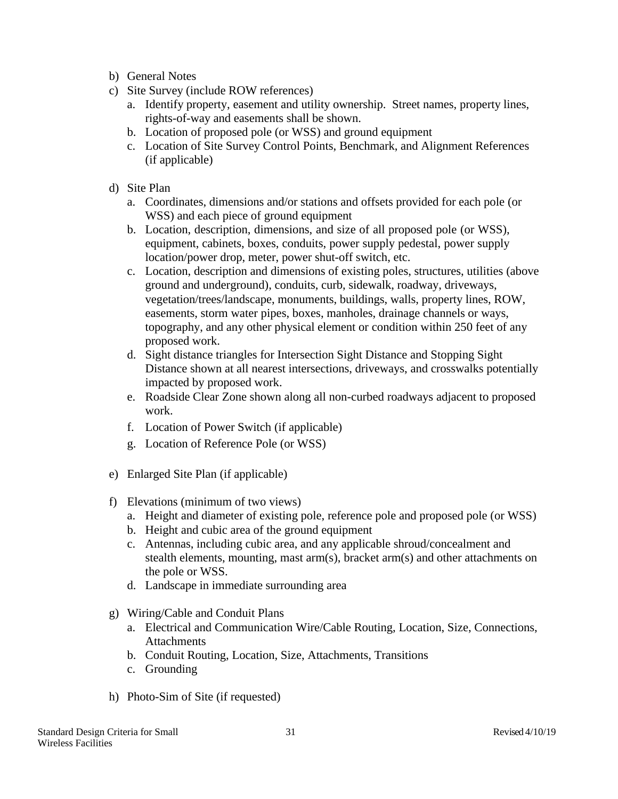- b) General Notes
- c) Site Survey (include ROW references)
	- a. Identify property, easement and utility ownership. Street names, property lines, rights-of-way and easements shall be shown.
	- b. Location of proposed pole (or WSS) and ground equipment
	- c. Location of Site Survey Control Points, Benchmark, and Alignment References (if applicable)
- d) Site Plan
	- a. Coordinates, dimensions and/or stations and offsets provided for each pole (or WSS) and each piece of ground equipment
	- b. Location, description, dimensions, and size of all proposed pole (or WSS), equipment, cabinets, boxes, conduits, power supply pedestal, power supply location/power drop, meter, power shut-off switch, etc.
	- c. Location, description and dimensions of existing poles, structures, utilities (above ground and underground), conduits, curb, sidewalk, roadway, driveways, vegetation/trees/landscape, monuments, buildings, walls, property lines, ROW, easements, storm water pipes, boxes, manholes, drainage channels or ways, topography, and any other physical element or condition within 250 feet of any proposed work.
	- d. Sight distance triangles for Intersection Sight Distance and Stopping Sight Distance shown at all nearest intersections, driveways, and crosswalks potentially impacted by proposed work.
	- e. Roadside Clear Zone shown along all non-curbed roadways adjacent to proposed work.
	- f. Location of Power Switch (if applicable)
	- g. Location of Reference Pole (or WSS)
- e) Enlarged Site Plan (if applicable)
- f) Elevations (minimum of two views)
	- a. Height and diameter of existing pole, reference pole and proposed pole (or WSS)
	- b. Height and cubic area of the ground equipment
	- c. Antennas, including cubic area, and any applicable shroud/concealment and stealth elements, mounting, mast arm(s), bracket arm(s) and other attachments on the pole or WSS.
	- d. Landscape in immediate surrounding area
- g) Wiring/Cable and Conduit Plans
	- a. Electrical and Communication Wire/Cable Routing, Location, Size, Connections, **Attachments**
	- b. Conduit Routing, Location, Size, Attachments, Transitions
	- c. Grounding
- h) Photo-Sim of Site (if requested)